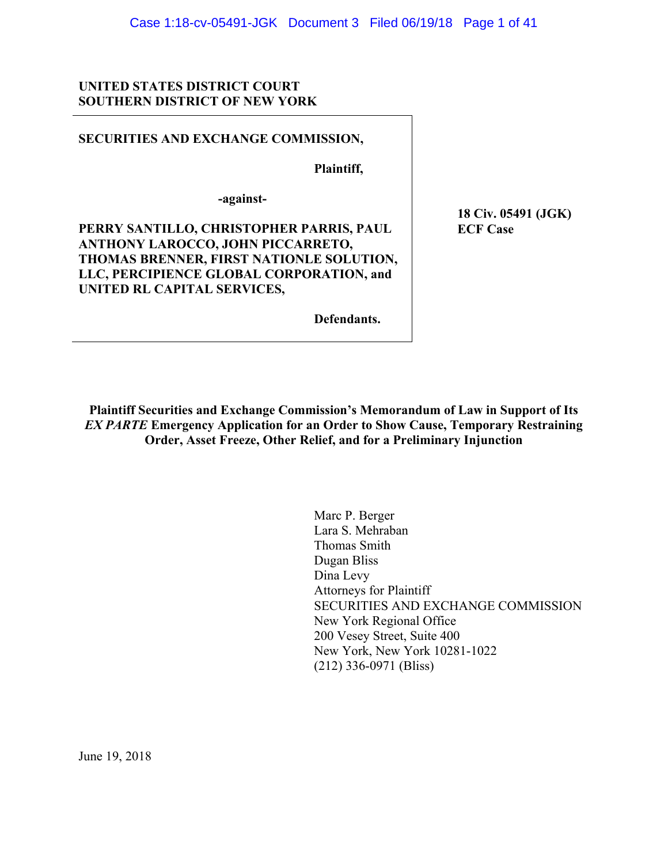## **UNITED STATES DISTRICT COURT SOUTHERN DISTRICT OF NEW YORK**

## **SECURITIES AND EXCHANGE COMMISSION,**

 **Plaintiff,** 

**-against-**

**PERRY SANTILLO, CHRISTOPHER PARRIS, PAUL ANTHONY LAROCCO, JOHN PICCARRETO, THOMAS BRENNER, FIRST NATIONLE SOLUTION, LLC, PERCIPIENCE GLOBAL CORPORATION, and UNITED RL CAPITAL SERVICES,** 

 **18 Civ. 05491 (JGK) ECF Case** 

 **Defendants.**

**Plaintiff Securities and Exchange Commission's Memorandum of Law in Support of Its**  *EX PARTE* **Emergency Application for an Order to Show Cause, Temporary Restraining Order, Asset Freeze, Other Relief, and for a Preliminary Injunction** 

> Marc P. Berger Lara S. Mehraban Thomas Smith Dugan Bliss Dina Levy Attorneys for Plaintiff SECURITIES AND EXCHANGE COMMISSION New York Regional Office 200 Vesey Street, Suite 400 New York, New York 10281-1022 (212) 336-0971 (Bliss)

June 19, 2018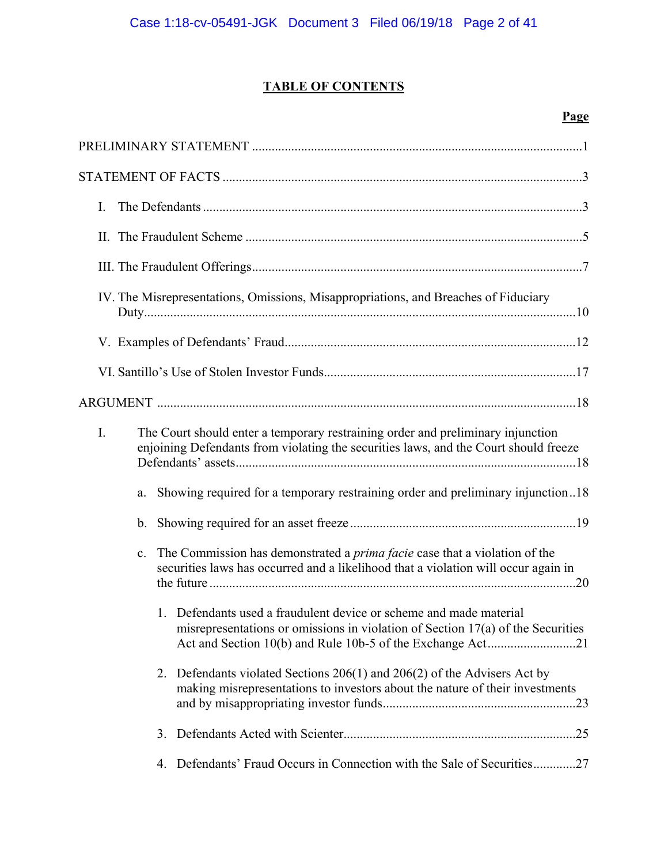## **TABLE OF CONTENTS**

## **Page**

| I.                                                                                                                                                                                        |
|-------------------------------------------------------------------------------------------------------------------------------------------------------------------------------------------|
|                                                                                                                                                                                           |
|                                                                                                                                                                                           |
| IV. The Misrepresentations, Omissions, Misappropriations, and Breaches of Fiduciary                                                                                                       |
|                                                                                                                                                                                           |
|                                                                                                                                                                                           |
|                                                                                                                                                                                           |
| I.<br>The Court should enter a temporary restraining order and preliminary injunction<br>enjoining Defendants from violating the securities laws, and the Court should freeze             |
| Showing required for a temporary restraining order and preliminary injunction18<br>a.                                                                                                     |
| b.                                                                                                                                                                                        |
| The Commission has demonstrated a <i>prima facie</i> case that a violation of the<br>$\mathbf{c}$ .<br>securities laws has occurred and a likelihood that a violation will occur again in |
| 1. Defendants used a fraudulent device or scheme and made material<br>misrepresentations or omissions in violation of Section $17(a)$ of the Securities                                   |
| Defendants violated Sections $206(1)$ and $206(2)$ of the Advisers Act by<br>2.<br>making misrepresentations to investors about the nature of their investments                           |
| 3.                                                                                                                                                                                        |
| 4. Defendants' Fraud Occurs in Connection with the Sale of Securities27                                                                                                                   |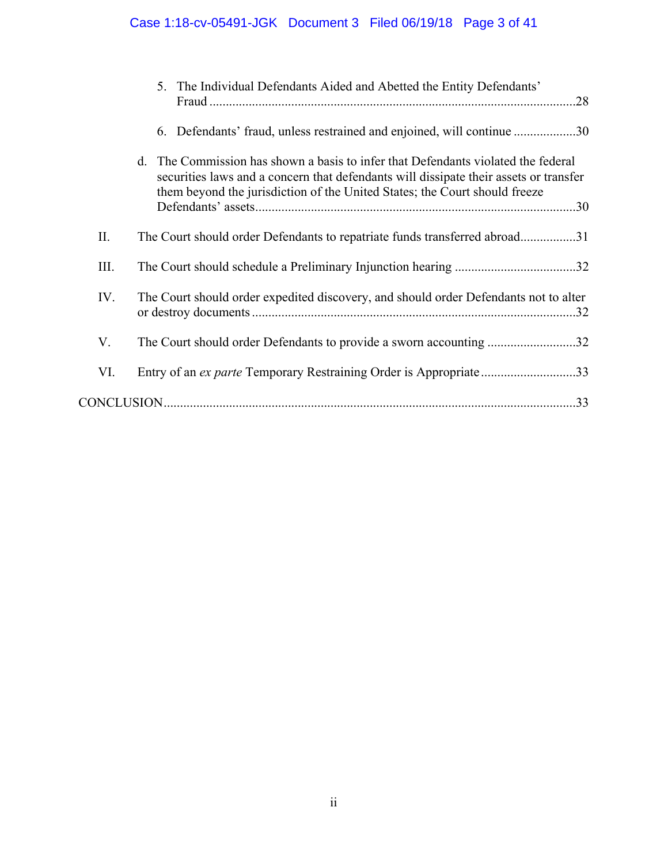# Case 1:18-cv-05491-JGK Document 3 Filed 06/19/18 Page 3 of 41

|     | 5. The Individual Defendants Aided and Abetted the Entity Defendants'<br>.28                                                                                                                                                                             |  |
|-----|----------------------------------------------------------------------------------------------------------------------------------------------------------------------------------------------------------------------------------------------------------|--|
|     | 6. Defendants' fraud, unless restrained and enjoined, will continue 30                                                                                                                                                                                   |  |
|     | d. The Commission has shown a basis to infer that Defendants violated the federal<br>securities laws and a concern that defendants will dissipate their assets or transfer<br>them beyond the jurisdiction of the United States; the Court should freeze |  |
| II. | The Court should order Defendants to repatriate funds transferred abroad31                                                                                                                                                                               |  |
| Ш.  |                                                                                                                                                                                                                                                          |  |
| IV. | The Court should order expedited discovery, and should order Defendants not to alter                                                                                                                                                                     |  |
| V.  | The Court should order Defendants to provide a sworn accounting 32                                                                                                                                                                                       |  |
| VI. | Entry of an ex parte Temporary Restraining Order is Appropriate33                                                                                                                                                                                        |  |
|     |                                                                                                                                                                                                                                                          |  |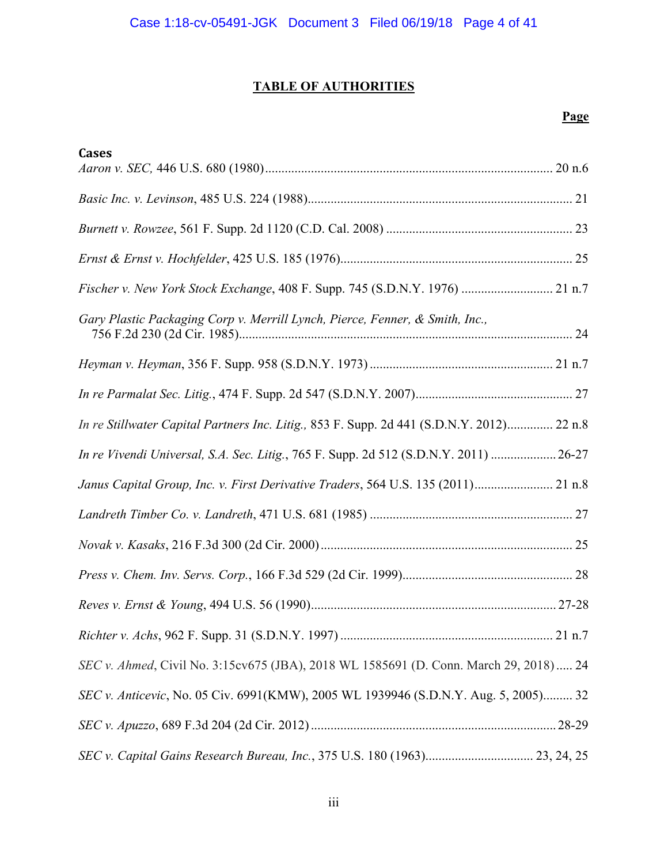# **TABLE OF AUTHORITIES**

## **Page**

| <b>Cases</b>                                                                              |  |
|-------------------------------------------------------------------------------------------|--|
|                                                                                           |  |
|                                                                                           |  |
|                                                                                           |  |
|                                                                                           |  |
| Fischer v. New York Stock Exchange, 408 F. Supp. 745 (S.D.N.Y. 1976)  21 n.7              |  |
| Gary Plastic Packaging Corp v. Merrill Lynch, Pierce, Fenner, & Smith, Inc.,              |  |
|                                                                                           |  |
|                                                                                           |  |
| In re Stillwater Capital Partners Inc. Litig., 853 F. Supp. 2d 441 (S.D.N.Y. 2012) 22 n.8 |  |
| In re Vivendi Universal, S.A. Sec. Litig., 765 F. Supp. 2d 512 (S.D.N.Y. 2011)  26-27     |  |
| Janus Capital Group, Inc. v. First Derivative Traders, 564 U.S. 135 (2011) 21 n.8         |  |
|                                                                                           |  |
|                                                                                           |  |
|                                                                                           |  |
|                                                                                           |  |
|                                                                                           |  |
| SEC v. Ahmed, Civil No. 3:15cv675 (JBA), 2018 WL 1585691 (D. Conn. March 29, 2018) 24     |  |
| SEC v. Anticevic, No. 05 Civ. 6991(KMW), 2005 WL 1939946 (S.D.N.Y. Aug. 5, 2005) 32       |  |
|                                                                                           |  |
| SEC v. Capital Gains Research Bureau, Inc., 375 U.S. 180 (1963) 23, 24, 25                |  |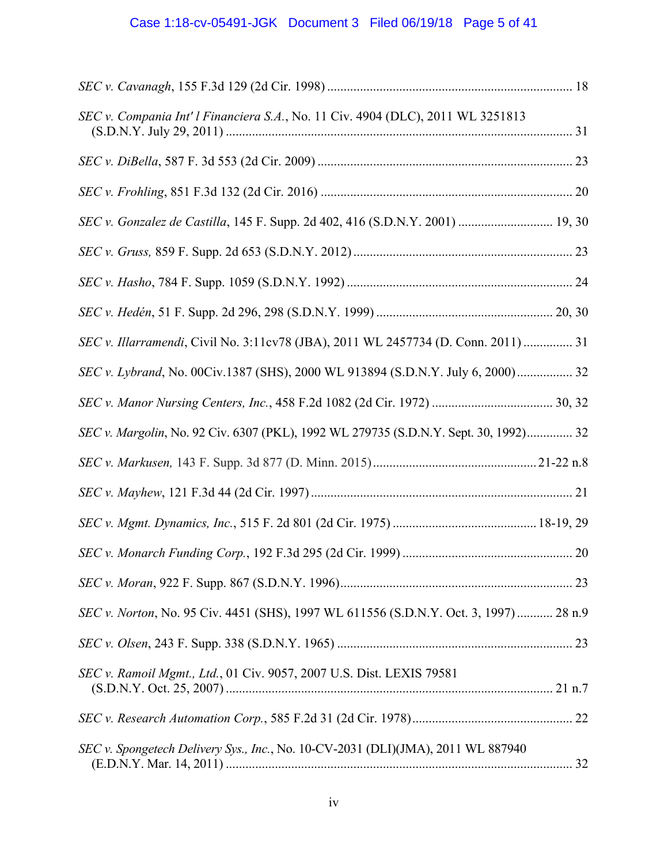# Case 1:18-cv-05491-JGK Document 3 Filed 06/19/18 Page 5 of 41

| SEC v. Compania Int' l Financiera S.A., No. 11 Civ. 4904 (DLC), 2011 WL 3251813      |  |
|--------------------------------------------------------------------------------------|--|
|                                                                                      |  |
|                                                                                      |  |
| SEC v. Gonzalez de Castilla, 145 F. Supp. 2d 402, 416 (S.D.N.Y. 2001)  19, 30        |  |
|                                                                                      |  |
|                                                                                      |  |
|                                                                                      |  |
| SEC v. Illarramendi, Civil No. 3:11cv78 (JBA), 2011 WL 2457734 (D. Conn. 2011)  31   |  |
| SEC v. Lybrand, No. 00Civ.1387 (SHS), 2000 WL 913894 (S.D.N.Y. July 6, 2000) 32      |  |
|                                                                                      |  |
| SEC v. Margolin, No. 92 Civ. 6307 (PKL), 1992 WL 279735 (S.D.N.Y. Sept. 30, 1992) 32 |  |
|                                                                                      |  |
|                                                                                      |  |
|                                                                                      |  |
|                                                                                      |  |
|                                                                                      |  |
| SEC v. Norton, No. 95 Civ. 4451 (SHS), 1997 WL 611556 (S.D.N.Y. Oct. 3, 1997) 28 n.9 |  |
|                                                                                      |  |
| SEC v. Ramoil Mgmt., Ltd., 01 Civ. 9057, 2007 U.S. Dist. LEXIS 79581                 |  |
|                                                                                      |  |
| SEC v. Spongetech Delivery Sys., Inc., No. 10-CV-2031 (DLI)(JMA), 2011 WL 887940     |  |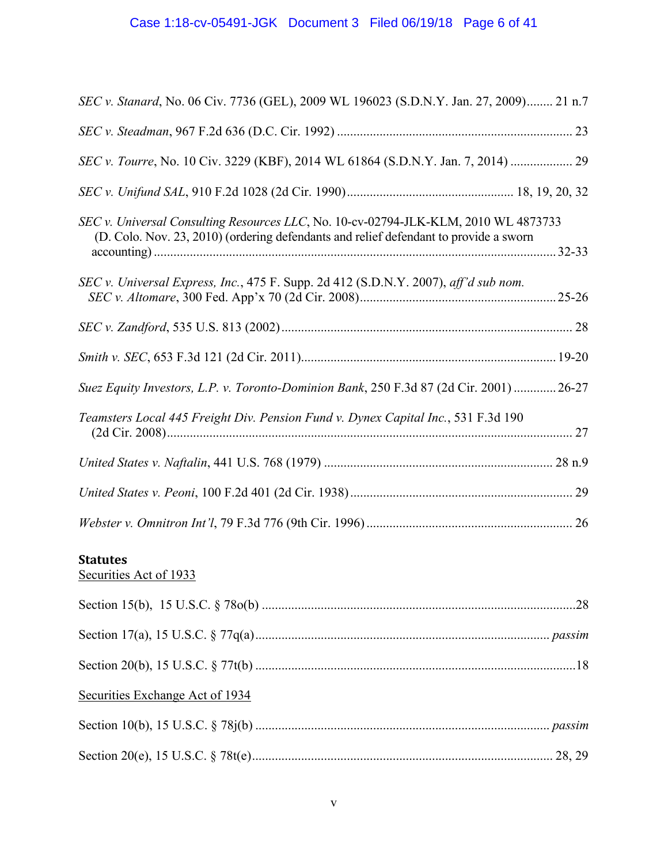# Case 1:18-cv-05491-JGK Document 3 Filed 06/19/18 Page 6 of 41

| SEC v. Stanard, No. 06 Civ. 7736 (GEL), 2009 WL 196023 (S.D.N.Y. Jan. 27, 2009) 21 n.7                                                                                       |         |
|------------------------------------------------------------------------------------------------------------------------------------------------------------------------------|---------|
|                                                                                                                                                                              |         |
|                                                                                                                                                                              |         |
|                                                                                                                                                                              |         |
| SEC v. Universal Consulting Resources LLC, No. 10-cv-02794-JLK-KLM, 2010 WL 4873733<br>(D. Colo. Nov. 23, 2010) (ordering defendants and relief defendant to provide a sworn |         |
| SEC v. Universal Express, Inc., 475 F. Supp. 2d 412 (S.D.N.Y. 2007), aff'd sub nom.                                                                                          | $25-26$ |
|                                                                                                                                                                              |         |
|                                                                                                                                                                              |         |
| Suez Equity Investors, L.P. v. Toronto-Dominion Bank, 250 F.3d 87 (2d Cir. 2001)  26-27                                                                                      |         |
| Teamsters Local 445 Freight Div. Pension Fund v. Dynex Capital Inc., 531 F.3d 190                                                                                            |         |
|                                                                                                                                                                              |         |
|                                                                                                                                                                              |         |
|                                                                                                                                                                              |         |

## **Statutes**

Securities Act of 1933

| Securities Exchange Act of 1934 |  |
|---------------------------------|--|
|                                 |  |
|                                 |  |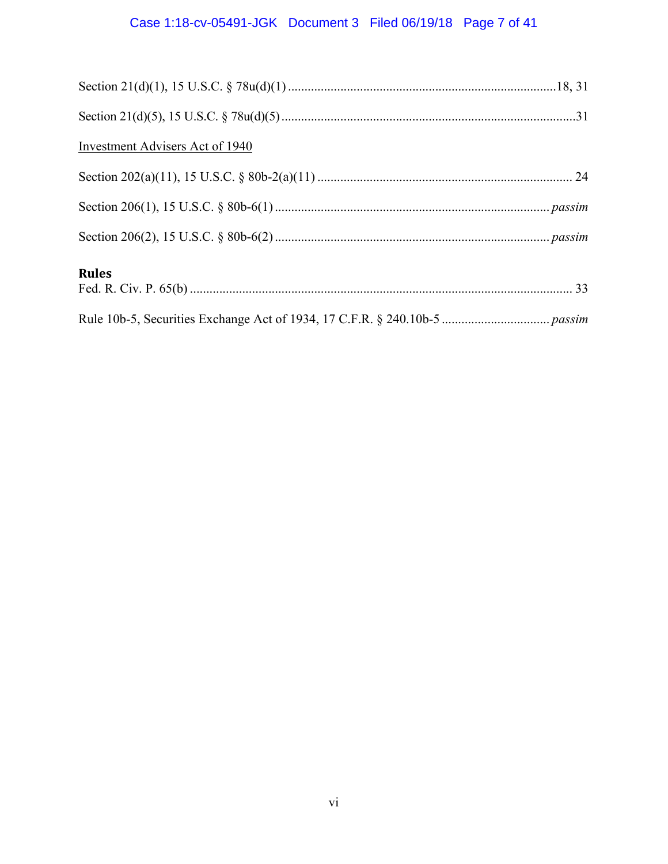# Case 1:18-cv-05491-JGK Document 3 Filed 06/19/18 Page 7 of 41

| Investment Advisers Act of 1940 |  |
|---------------------------------|--|
|                                 |  |
|                                 |  |
|                                 |  |
| <b>Rules</b>                    |  |
|                                 |  |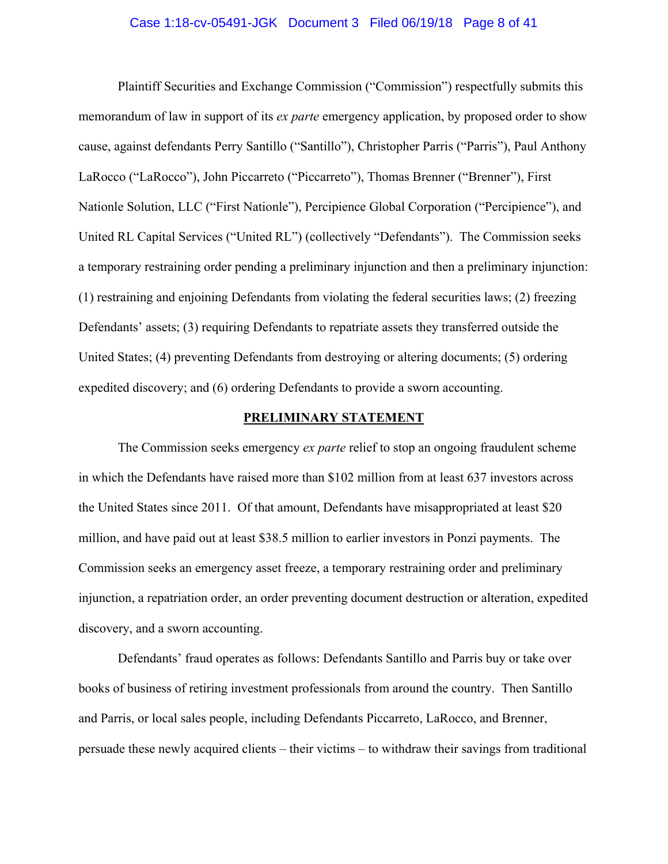#### Case 1:18-cv-05491-JGK Document 3 Filed 06/19/18 Page 8 of 41

Plaintiff Securities and Exchange Commission ("Commission") respectfully submits this memorandum of law in support of its *ex parte* emergency application, by proposed order to show cause, against defendants Perry Santillo ("Santillo"), Christopher Parris ("Parris"), Paul Anthony LaRocco ("LaRocco"), John Piccarreto ("Piccarreto"), Thomas Brenner ("Brenner"), First Nationle Solution, LLC ("First Nationle"), Percipience Global Corporation ("Percipience"), and United RL Capital Services ("United RL") (collectively "Defendants"). The Commission seeks a temporary restraining order pending a preliminary injunction and then a preliminary injunction: (1) restraining and enjoining Defendants from violating the federal securities laws; (2) freezing Defendants' assets; (3) requiring Defendants to repatriate assets they transferred outside the United States; (4) preventing Defendants from destroying or altering documents; (5) ordering expedited discovery; and (6) ordering Defendants to provide a sworn accounting.

## **PRELIMINARY STATEMENT**

 The Commission seeks emergency *ex parte* relief to stop an ongoing fraudulent scheme in which the Defendants have raised more than \$102 million from at least 637 investors across the United States since 2011. Of that amount, Defendants have misappropriated at least \$20 million, and have paid out at least \$38.5 million to earlier investors in Ponzi payments. The Commission seeks an emergency asset freeze, a temporary restraining order and preliminary injunction, a repatriation order, an order preventing document destruction or alteration, expedited discovery, and a sworn accounting.

 Defendants' fraud operates as follows: Defendants Santillo and Parris buy or take over books of business of retiring investment professionals from around the country. Then Santillo and Parris, or local sales people, including Defendants Piccarreto, LaRocco, and Brenner, persuade these newly acquired clients – their victims – to withdraw their savings from traditional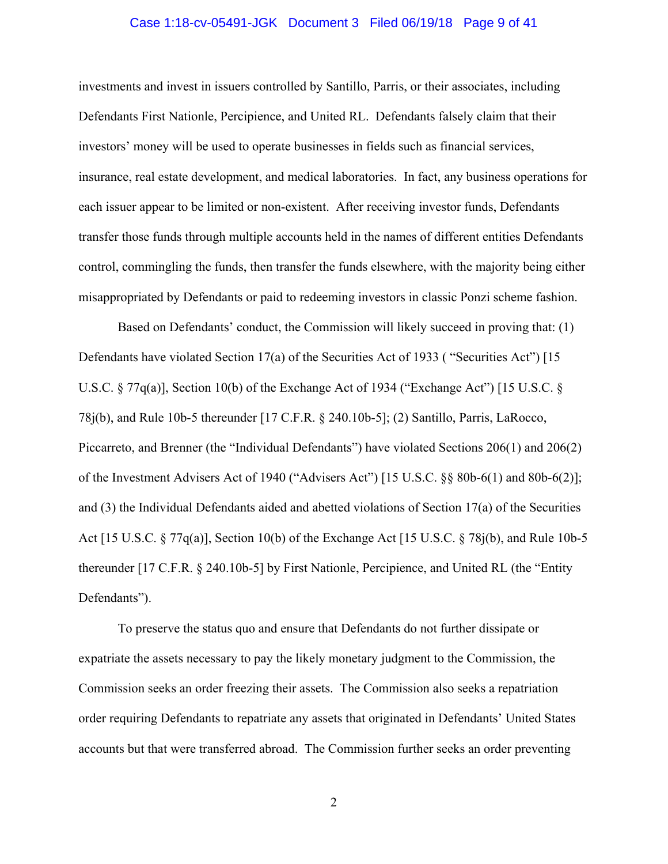#### Case 1:18-cv-05491-JGK Document 3 Filed 06/19/18 Page 9 of 41

investments and invest in issuers controlled by Santillo, Parris, or their associates, including Defendants First Nationle, Percipience, and United RL. Defendants falsely claim that their investors' money will be used to operate businesses in fields such as financial services, insurance, real estate development, and medical laboratories. In fact, any business operations for each issuer appear to be limited or non-existent. After receiving investor funds, Defendants transfer those funds through multiple accounts held in the names of different entities Defendants control, commingling the funds, then transfer the funds elsewhere, with the majority being either misappropriated by Defendants or paid to redeeming investors in classic Ponzi scheme fashion.

 Based on Defendants' conduct, the Commission will likely succeed in proving that: (1) Defendants have violated Section 17(a) of the Securities Act of 1933 ( "Securities Act") [15 U.S.C. § 77q(a)], Section 10(b) of the Exchange Act of 1934 ("Exchange Act") [15 U.S.C. § 78j(b), and Rule 10b-5 thereunder [17 C.F.R. § 240.10b-5]; (2) Santillo, Parris, LaRocco, Piccarreto, and Brenner (the "Individual Defendants") have violated Sections 206(1) and 206(2) of the Investment Advisers Act of 1940 ("Advisers Act") [15 U.S.C. §§ 80b-6(1) and 80b-6(2)]; and (3) the Individual Defendants aided and abetted violations of Section 17(a) of the Securities Act [15 U.S.C. § 77q(a)], Section 10(b) of the Exchange Act [15 U.S.C. § 78j(b), and Rule 10b-5 thereunder [17 C.F.R. § 240.10b-5] by First Nationle, Percipience, and United RL (the "Entity Defendants").

 To preserve the status quo and ensure that Defendants do not further dissipate or expatriate the assets necessary to pay the likely monetary judgment to the Commission, the Commission seeks an order freezing their assets. The Commission also seeks a repatriation order requiring Defendants to repatriate any assets that originated in Defendants' United States accounts but that were transferred abroad. The Commission further seeks an order preventing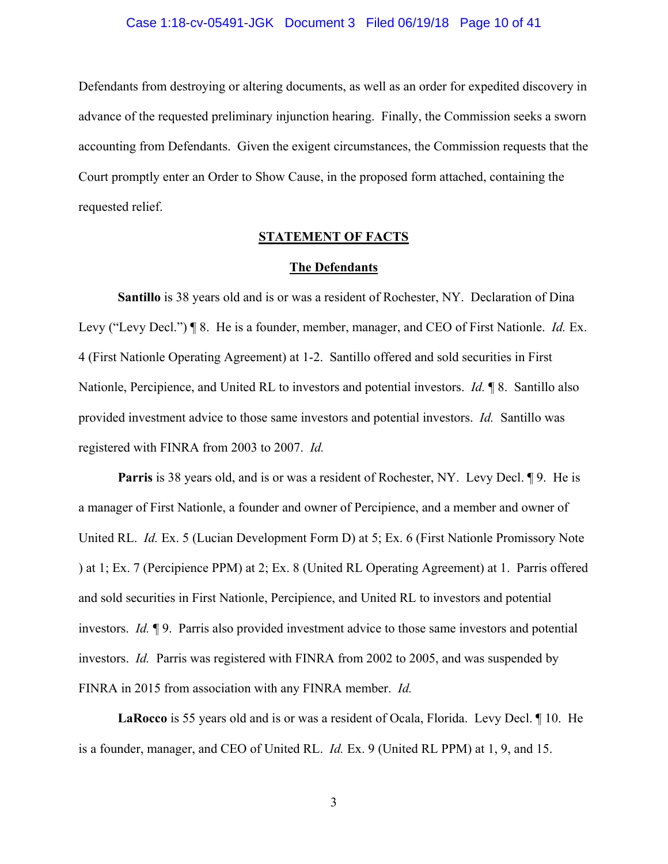#### Case 1:18-cv-05491-JGK Document 3 Filed 06/19/18 Page 10 of 41

Defendants from destroying or altering documents, as well as an order for expedited discovery in advance of the requested preliminary injunction hearing. Finally, the Commission seeks a sworn accounting from Defendants. Given the exigent circumstances, the Commission requests that the Court promptly enter an Order to Show Cause, in the proposed form attached, containing the requested relief.

## **STATEMENT OF FACTS**

#### **The Defendants**

**Santillo** is 38 years old and is or was a resident of Rochester, NY. Declaration of Dina Levy ("Levy Decl.") ¶ 8. He is a founder, member, manager, and CEO of First Nationle. *Id.* Ex. 4 (First Nationle Operating Agreement) at 1-2. Santillo offered and sold securities in First Nationle, Percipience, and United RL to investors and potential investors. *Id.* ¶ 8. Santillo also provided investment advice to those same investors and potential investors. *Id.* Santillo was registered with FINRA from 2003 to 2007. *Id.* 

**Parris** is 38 years old, and is or was a resident of Rochester, NY. Levy Decl. 19. He is a manager of First Nationle, a founder and owner of Percipience, and a member and owner of United RL. *Id.* Ex. 5 (Lucian Development Form D) at 5; Ex. 6 (First Nationle Promissory Note ) at 1; Ex. 7 (Percipience PPM) at 2; Ex. 8 (United RL Operating Agreement) at 1. Parris offered and sold securities in First Nationle, Percipience, and United RL to investors and potential investors. *Id.* ¶ 9. Parris also provided investment advice to those same investors and potential investors. *Id.* Parris was registered with FINRA from 2002 to 2005, and was suspended by FINRA in 2015 from association with any FINRA member. *Id.* 

**LaRocco** is 55 years old and is or was a resident of Ocala, Florida. Levy Decl. ¶ 10. He is a founder, manager, and CEO of United RL. *Id.* Ex. 9 (United RL PPM) at 1, 9, and 15.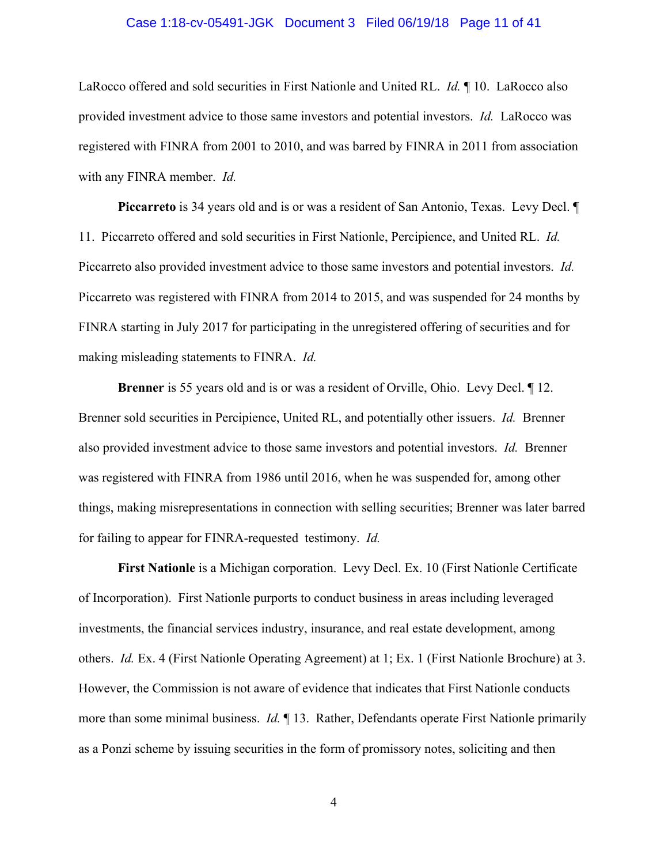#### Case 1:18-cv-05491-JGK Document 3 Filed 06/19/18 Page 11 of 41

LaRocco offered and sold securities in First Nationle and United RL. *Id.* ¶ 10. LaRocco also provided investment advice to those same investors and potential investors. *Id.* LaRocco was registered with FINRA from 2001 to 2010, and was barred by FINRA in 2011 from association with any FINRA member. *Id.*

**Piccarreto** is 34 years old and is or was a resident of San Antonio, Texas. Levy Decl. ¶ 11. Piccarreto offered and sold securities in First Nationle, Percipience, and United RL. *Id.* Piccarreto also provided investment advice to those same investors and potential investors. *Id.* Piccarreto was registered with FINRA from 2014 to 2015, and was suspended for 24 months by FINRA starting in July 2017 for participating in the unregistered offering of securities and for making misleading statements to FINRA. *Id.* 

**Brenner** is 55 years old and is or was a resident of Orville, Ohio. Levy Decl. ¶ 12. Brenner sold securities in Percipience, United RL, and potentially other issuers. *Id.* Brenner also provided investment advice to those same investors and potential investors. *Id.* Brenner was registered with FINRA from 1986 until 2016, when he was suspended for, among other things, making misrepresentations in connection with selling securities; Brenner was later barred for failing to appear for FINRA-requested testimony. *Id.*

**First Nationle** is a Michigan corporation. Levy Decl. Ex. 10 (First Nationle Certificate of Incorporation). First Nationle purports to conduct business in areas including leveraged investments, the financial services industry, insurance, and real estate development, among others. *Id.* Ex. 4 (First Nationle Operating Agreement) at 1; Ex. 1 (First Nationle Brochure) at 3. However, the Commission is not aware of evidence that indicates that First Nationle conducts more than some minimal business. *Id.* ¶ 13. Rather, Defendants operate First Nationle primarily as a Ponzi scheme by issuing securities in the form of promissory notes, soliciting and then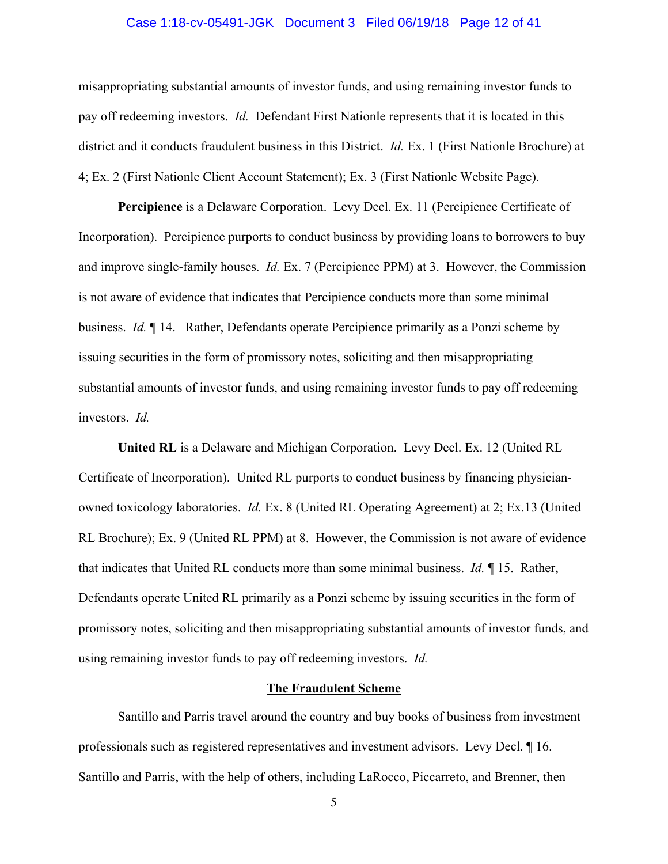#### Case 1:18-cv-05491-JGK Document 3 Filed 06/19/18 Page 12 of 41

misappropriating substantial amounts of investor funds, and using remaining investor funds to pay off redeeming investors. *Id.* Defendant First Nationle represents that it is located in this district and it conducts fraudulent business in this District. *Id.* Ex. 1 (First Nationle Brochure) at 4; Ex. 2 (First Nationle Client Account Statement); Ex. 3 (First Nationle Website Page).

**Percipience** is a Delaware Corporation. Levy Decl. Ex. 11 (Percipience Certificate of Incorporation). Percipience purports to conduct business by providing loans to borrowers to buy and improve single-family houses. *Id.* Ex. 7 (Percipience PPM) at 3. However, the Commission is not aware of evidence that indicates that Percipience conducts more than some minimal business. *Id.* ¶ 14. Rather, Defendants operate Percipience primarily as a Ponzi scheme by issuing securities in the form of promissory notes, soliciting and then misappropriating substantial amounts of investor funds, and using remaining investor funds to pay off redeeming investors. *Id.*

**United RL** is a Delaware and Michigan Corporation. Levy Decl. Ex. 12 (United RL Certificate of Incorporation). United RL purports to conduct business by financing physicianowned toxicology laboratories. *Id.* Ex. 8 (United RL Operating Agreement) at 2; Ex.13 (United RL Brochure); Ex. 9 (United RL PPM) at 8. However, the Commission is not aware of evidence that indicates that United RL conducts more than some minimal business. *Id.* ¶ 15. Rather, Defendants operate United RL primarily as a Ponzi scheme by issuing securities in the form of promissory notes, soliciting and then misappropriating substantial amounts of investor funds, and using remaining investor funds to pay off redeeming investors. *Id.*

#### **The Fraudulent Scheme**

Santillo and Parris travel around the country and buy books of business from investment professionals such as registered representatives and investment advisors. Levy Decl. ¶ 16. Santillo and Parris, with the help of others, including LaRocco, Piccarreto, and Brenner, then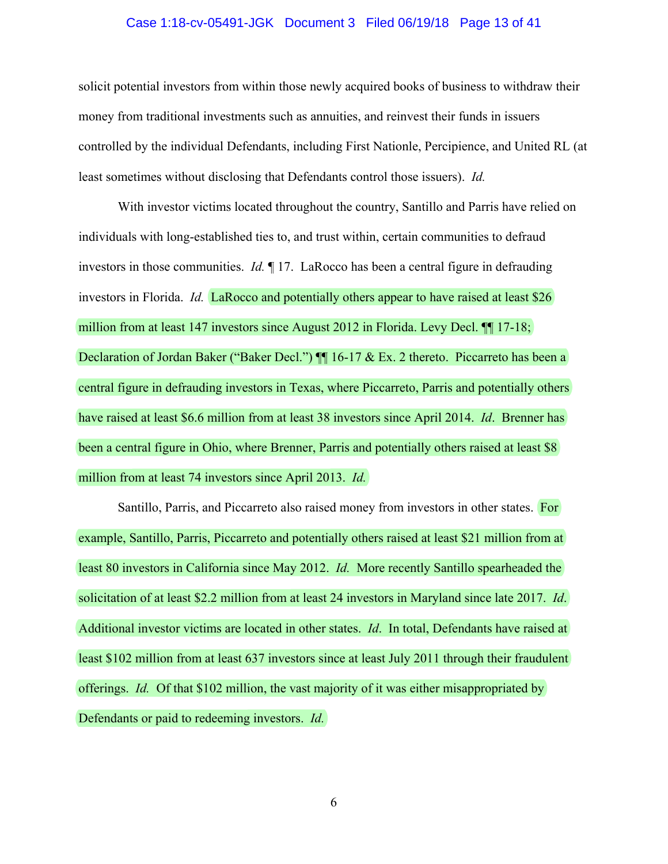#### Case 1:18-cv-05491-JGK Document 3 Filed 06/19/18 Page 13 of 41

solicit potential investors from within those newly acquired books of business to withdraw their money from traditional investments such as annuities, and reinvest their funds in issuers controlled by the individual Defendants, including First Nationle, Percipience, and United RL (at least sometimes without disclosing that Defendants control those issuers). *Id.* 

With investor victims located throughout the country, Santillo and Parris have relied on individuals with long-established ties to, and trust within, certain communities to defraud investors in those communities. *Id.* ¶ 17.LaRocco has been a central figure in defrauding investors in Florida. *Id.* LaRocco and potentially others appear to have raised at least \$26 million from at least 147 investors since August 2012 in Florida. Levy Decl. <sup>[1]</sup> 17-18; Declaration of Jordan Baker ("Baker Decl.")  $\P$  16-17 & Ex. 2 thereto. Piccarreto has been a central figure in defrauding investors in Texas, where Piccarreto, Parris and potentially others have raised at least \$6.6 million from at least 38 investors since April 2014. *Id*. Brenner has been a central figure in Ohio, where Brenner, Parris and potentially others raised at least \$8 million from at least 74 investors since April 2013. *Id.*

Santillo, Parris, and Piccarreto also raised money from investors in other states. For example, Santillo, Parris, Piccarreto and potentially others raised at least \$21 million from at least 80 investors in California since May 2012. *Id.* More recently Santillo spearheaded the solicitation of at least \$2.2 million from at least 24 investors in Maryland since late 2017. *Id*. Additional investor victims are located in other states. *Id*. In total, Defendants have raised at least \$102 million from at least 637 investors since at least July 2011 through their fraudulent offerings. *Id.* Of that \$102 million, the vast majority of it was either misappropriated by Defendants or paid to redeeming investors. *Id.*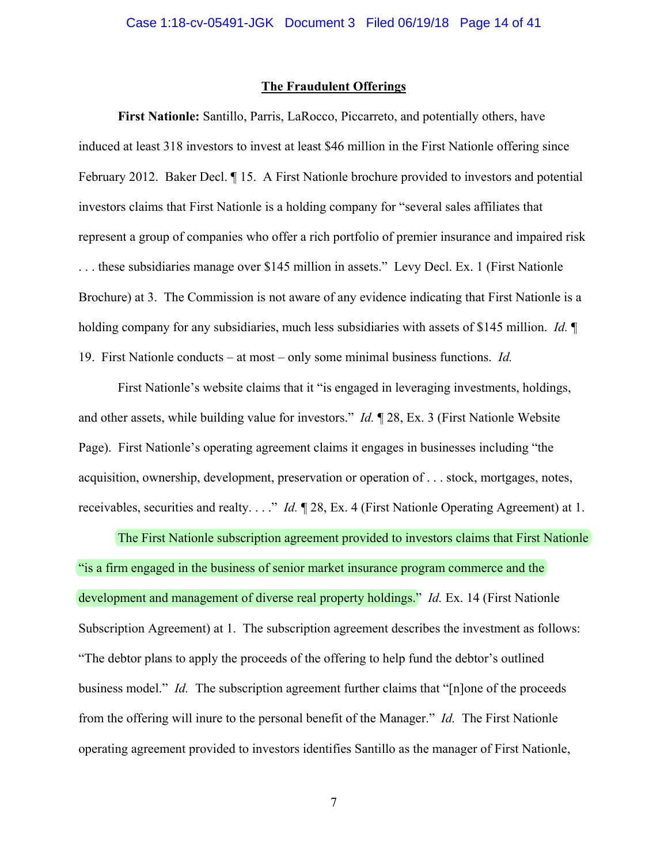#### **The Fraudulent Offerings**

**First Nationle:** Santillo, Parris, LaRocco, Piccarreto, and potentially others, have induced at least 318 investors to invest at least \$46 million in the First Nationle offering since February 2012. Baker Decl. ¶ 15. A First Nationle brochure provided to investors and potential investors claims that First Nationle is a holding company for "several sales affiliates that represent a group of companies who offer a rich portfolio of premier insurance and impaired risk . . . these subsidiaries manage over \$145 million in assets." Levy Decl. Ex. 1 (First Nationle Brochure) at 3. The Commission is not aware of any evidence indicating that First Nationle is a holding company for any subsidiaries, much less subsidiaries with assets of \$145 million. *Id.* ¶ 19. First Nationle conducts – at most – only some minimal business functions. *Id.* 

First Nationle's website claims that it "is engaged in leveraging investments, holdings, and other assets, while building value for investors." *Id.* ¶ 28, Ex. 3 (First Nationle Website Page). First Nationle's operating agreement claims it engages in businesses including "the acquisition, ownership, development, preservation or operation of . . . stock, mortgages, notes, receivables, securities and realty. . . ." *Id.* ¶ 28, Ex. 4 (First Nationle Operating Agreement) at 1.

The First Nationle subscription agreement provided to investors claims that First Nationle "is a firm engaged in the business of senior market insurance program commerce and the development and management of diverse real property holdings." *Id.* Ex. 14 (First Nationle Subscription Agreement) at 1. The subscription agreement describes the investment as follows: "The debtor plans to apply the proceeds of the offering to help fund the debtor's outlined business model." *Id.* The subscription agreement further claims that "[n]one of the proceeds from the offering will inure to the personal benefit of the Manager." *Id.*The First Nationle operating agreement provided to investors identifies Santillo as the manager of First Nationle,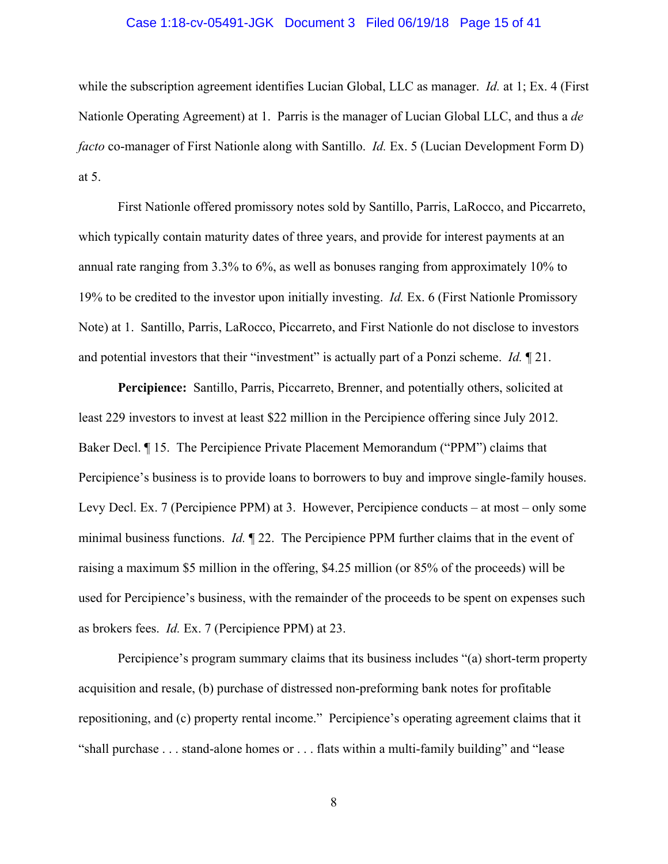#### Case 1:18-cv-05491-JGK Document 3 Filed 06/19/18 Page 15 of 41

while the subscription agreement identifies Lucian Global, LLC as manager. *Id.* at 1; Ex. 4 (First Nationle Operating Agreement) at 1. Parris is the manager of Lucian Global LLC, and thus a *de facto* co-manager of First Nationle along with Santillo. *Id.* Ex. 5 (Lucian Development Form D) at 5.

First Nationle offered promissory notes sold by Santillo, Parris, LaRocco, and Piccarreto, which typically contain maturity dates of three years, and provide for interest payments at an annual rate ranging from 3.3% to 6%, as well as bonuses ranging from approximately 10% to 19% to be credited to the investor upon initially investing. *Id.* Ex. 6 (First Nationle Promissory Note) at 1. Santillo, Parris, LaRocco, Piccarreto, and First Nationle do not disclose to investors and potential investors that their "investment" is actually part of a Ponzi scheme. *Id.* ¶ 21.

**Percipience:** Santillo, Parris, Piccarreto, Brenner, and potentially others, solicited at least 229 investors to invest at least \$22 million in the Percipience offering since July 2012. Baker Decl. ¶ 15. The Percipience Private Placement Memorandum ("PPM") claims that Percipience's business is to provide loans to borrowers to buy and improve single-family houses. Levy Decl. Ex. 7 (Percipience PPM) at 3. However, Percipience conducts – at most – only some minimal business functions. *Id.* ¶ 22. The Percipience PPM further claims that in the event of raising a maximum \$5 million in the offering, \$4.25 million (or 85% of the proceeds) will be used for Percipience's business, with the remainder of the proceeds to be spent on expenses such as brokers fees. *Id.* Ex. 7 (Percipience PPM) at 23.

Percipience's program summary claims that its business includes "(a) short-term property acquisition and resale, (b) purchase of distressed non-preforming bank notes for profitable repositioning, and (c) property rental income." Percipience's operating agreement claims that it "shall purchase . . . stand-alone homes or . . . flats within a multi-family building" and "lease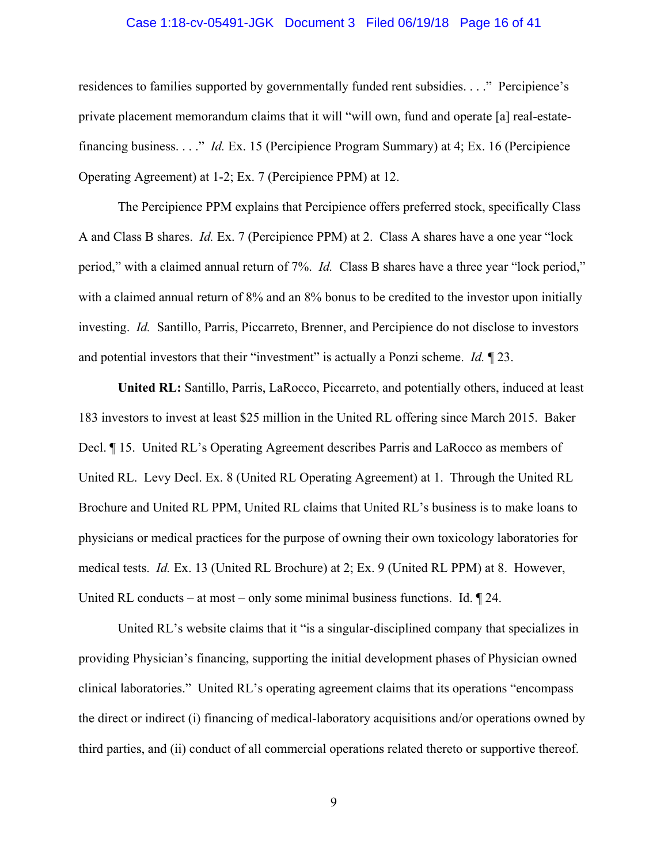#### Case 1:18-cv-05491-JGK Document 3 Filed 06/19/18 Page 16 of 41

residences to families supported by governmentally funded rent subsidies. . . ." Percipience's private placement memorandum claims that it will "will own, fund and operate [a] real-estatefinancing business. . . ." *Id.* Ex. 15 (Percipience Program Summary) at 4; Ex. 16 (Percipience Operating Agreement) at 1-2; Ex. 7 (Percipience PPM) at 12.

The Percipience PPM explains that Percipience offers preferred stock, specifically Class A and Class B shares. *Id.* Ex. 7 (Percipience PPM) at 2. Class A shares have a one year "lock period," with a claimed annual return of 7%. *Id.* Class B shares have a three year "lock period," with a claimed annual return of 8% and an 8% bonus to be credited to the investor upon initially investing. *Id.* Santillo, Parris, Piccarreto, Brenner, and Percipience do not disclose to investors and potential investors that their "investment" is actually a Ponzi scheme. *Id.* ¶ 23.

**United RL:** Santillo, Parris, LaRocco, Piccarreto, and potentially others, induced at least 183 investors to invest at least \$25 million in the United RL offering since March 2015. Baker Decl. ¶ 15. United RL's Operating Agreement describes Parris and LaRocco as members of United RL. Levy Decl. Ex. 8 (United RL Operating Agreement) at 1. Through the United RL Brochure and United RL PPM, United RL claims that United RL's business is to make loans to physicians or medical practices for the purpose of owning their own toxicology laboratories for medical tests. *Id.* Ex. 13 (United RL Brochure) at 2; Ex. 9 (United RL PPM) at 8. However, United RL conducts – at most – only some minimal business functions. Id. ¶ 24.

United RL's website claims that it "is a singular-disciplined company that specializes in providing Physician's financing, supporting the initial development phases of Physician owned clinical laboratories." United RL's operating agreement claims that its operations "encompass the direct or indirect (i) financing of medical-laboratory acquisitions and/or operations owned by third parties, and (ii) conduct of all commercial operations related thereto or supportive thereof.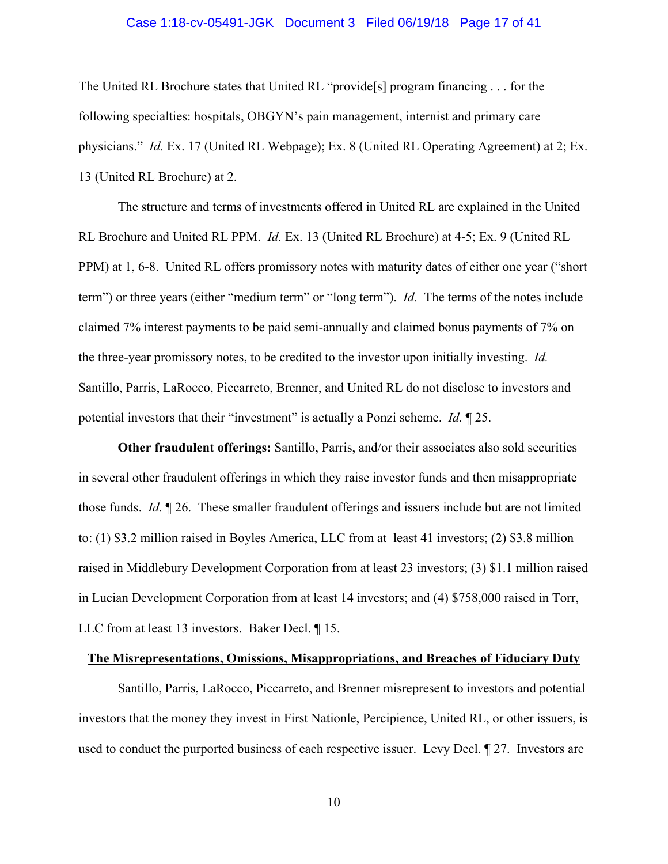#### Case 1:18-cv-05491-JGK Document 3 Filed 06/19/18 Page 17 of 41

The United RL Brochure states that United RL "provide[s] program financing . . . for the following specialties: hospitals, OBGYN's pain management, internist and primary care physicians." *Id.* Ex. 17 (United RL Webpage); Ex. 8 (United RL Operating Agreement) at 2; Ex. 13 (United RL Brochure) at 2.

The structure and terms of investments offered in United RL are explained in the United RL Brochure and United RL PPM. *Id.* Ex. 13 (United RL Brochure) at 4-5; Ex. 9 (United RL PPM) at 1, 6-8. United RL offers promissory notes with maturity dates of either one year ("short term") or three years (either "medium term" or "long term"). *Id.* The terms of the notes include claimed 7% interest payments to be paid semi-annually and claimed bonus payments of 7% on the three-year promissory notes, to be credited to the investor upon initially investing. *Id.* Santillo, Parris, LaRocco, Piccarreto, Brenner, and United RL do not disclose to investors and potential investors that their "investment" is actually a Ponzi scheme. *Id.* ¶ 25.

**Other fraudulent offerings:** Santillo, Parris, and/or their associates also sold securities in several other fraudulent offerings in which they raise investor funds and then misappropriate those funds. *Id.* ¶ 26. These smaller fraudulent offerings and issuers include but are not limited to: (1) \$3.2 million raised in Boyles America, LLC from at least 41 investors; (2) \$3.8 million raised in Middlebury Development Corporation from at least 23 investors; (3) \$1.1 million raised in Lucian Development Corporation from at least 14 investors; and (4) \$758,000 raised in Torr, LLC from at least 13 investors. Baker Decl. ¶ 15.

#### **The Misrepresentations, Omissions, Misappropriations, and Breaches of Fiduciary Duty**

Santillo, Parris, LaRocco, Piccarreto, and Brenner misrepresent to investors and potential investors that the money they invest in First Nationle, Percipience, United RL, or other issuers, is used to conduct the purported business of each respective issuer. Levy Decl. ¶ 27. Investors are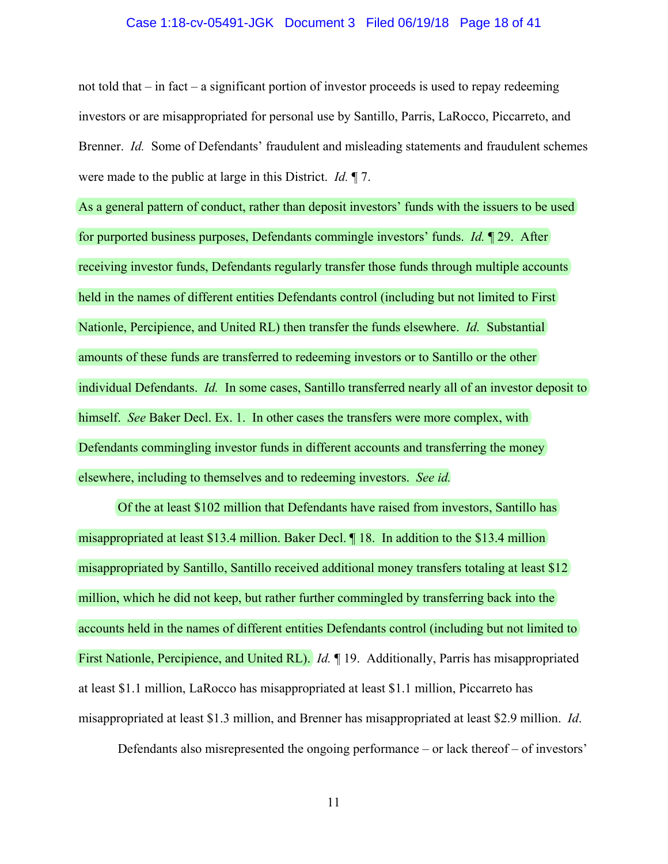#### Case 1:18-cv-05491-JGK Document 3 Filed 06/19/18 Page 18 of 41

not told that  $-$  in fact  $-$  a significant portion of investor proceeds is used to repay redeeming investors or are misappropriated for personal use by Santillo, Parris, LaRocco, Piccarreto, and Brenner. *Id.* Some of Defendants' fraudulent and misleading statements and fraudulent schemes were made to the public at large in this District. *Id.* ¶ 7.

As a general pattern of conduct, rather than deposit investors' funds with the issuers to be used for purported business purposes, Defendants commingle investors' funds. *Id.* ¶ 29. After receiving investor funds, Defendants regularly transfer those funds through multiple accounts held in the names of different entities Defendants control (including but not limited to First Nationle, Percipience, and United RL) then transfer the funds elsewhere. *Id.* Substantial amounts of these funds are transferred to redeeming investors or to Santillo or the other individual Defendants. *Id.* In some cases, Santillo transferred nearly all of an investor deposit to himself. *See* Baker Decl. Ex. 1. In other cases the transfers were more complex, with Defendants commingling investor funds in different accounts and transferring the money elsewhere, including to themselves and to redeeming investors. *See id.*

Of the at least \$102 million that Defendants have raised from investors, Santillo has misappropriated at least \$13.4 million. Baker Decl. ¶ 18. In addition to the \$13.4 million misappropriated by Santillo, Santillo received additional money transfers totaling at least \$12 million, which he did not keep, but rather further commingled by transferring back into the accounts held in the names of different entities Defendants control (including but not limited to First Nationle, Percipience, and United RL). *Id.* ¶ 19. Additionally, Parris has misappropriated at least \$1.1 million, LaRocco has misappropriated at least \$1.1 million, Piccarreto has misappropriated at least \$1.3 million, and Brenner has misappropriated at least \$2.9 million. *Id*.

Defendants also misrepresented the ongoing performance – or lack thereof – of investors'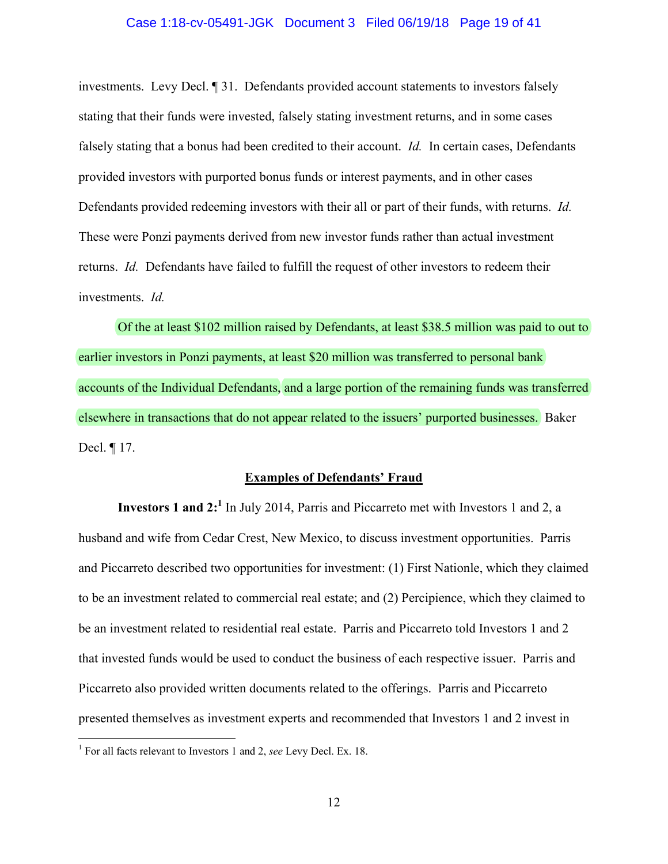#### Case 1:18-cv-05491-JGK Document 3 Filed 06/19/18 Page 19 of 41

investments. Levy Decl. ¶ 31. Defendants provided account statements to investors falsely stating that their funds were invested, falsely stating investment returns, and in some cases falsely stating that a bonus had been credited to their account. *Id.* In certain cases, Defendants provided investors with purported bonus funds or interest payments, and in other cases Defendants provided redeeming investors with their all or part of their funds, with returns. *Id.* These were Ponzi payments derived from new investor funds rather than actual investment returns. *Id.* Defendants have failed to fulfill the request of other investors to redeem their investments. *Id.*

Of the at least \$102 million raised by Defendants, at least \$38.5 million was paid to out to earlier investors in Ponzi payments, at least \$20 million was transferred to personal bank accounts of the Individual Defendants, and a large portion of the remaining funds was transferred elsewhere in transactions that do not appear related to the issuers' purported businesses. Baker Decl. ¶ 17.

#### **Examples of Defendants' Fraud**

**Investors 1 and 2:<sup>1</sup>** In July 2014, Parris and Piccarreto met with Investors 1 and 2, a husband and wife from Cedar Crest, New Mexico, to discuss investment opportunities. Parris and Piccarreto described two opportunities for investment: (1) First Nationle, which they claimed to be an investment related to commercial real estate; and (2) Percipience, which they claimed to be an investment related to residential real estate. Parris and Piccarreto told Investors 1 and 2 that invested funds would be used to conduct the business of each respective issuer. Parris and Piccarreto also provided written documents related to the offerings. Parris and Piccarreto presented themselves as investment experts and recommended that Investors 1 and 2 invest in

 1 For all facts relevant to Investors 1 and 2, *see* Levy Decl. Ex. 18.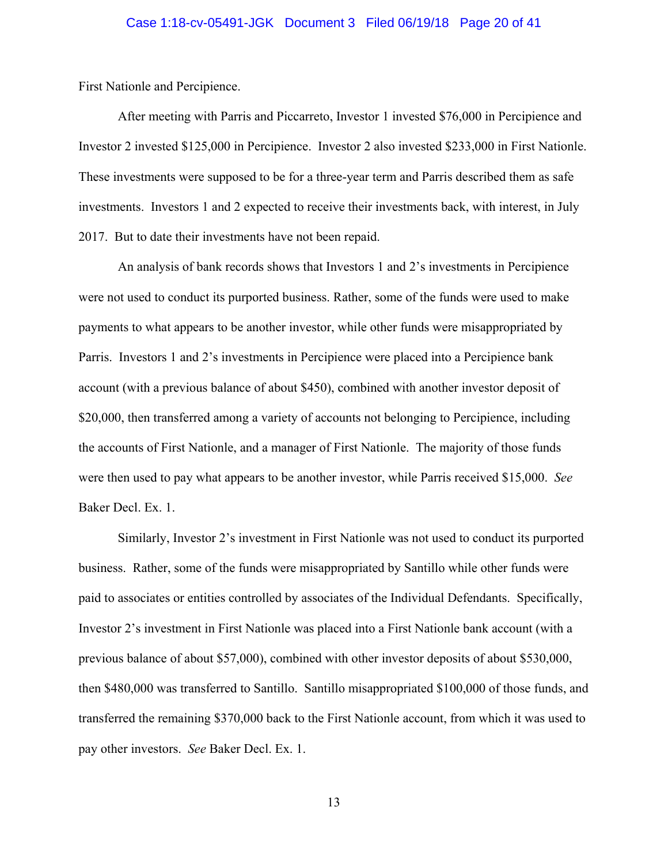## Case 1:18-cv-05491-JGK Document 3 Filed 06/19/18 Page 20 of 41

First Nationle and Percipience.

After meeting with Parris and Piccarreto, Investor 1 invested \$76,000 in Percipience and Investor 2 invested \$125,000 in Percipience. Investor 2 also invested \$233,000 in First Nationle. These investments were supposed to be for a three-year term and Parris described them as safe investments. Investors 1 and 2 expected to receive their investments back, with interest, in July 2017. But to date their investments have not been repaid.

An analysis of bank records shows that Investors 1 and 2's investments in Percipience were not used to conduct its purported business. Rather, some of the funds were used to make payments to what appears to be another investor, while other funds were misappropriated by Parris. Investors 1 and 2's investments in Percipience were placed into a Percipience bank account (with a previous balance of about \$450), combined with another investor deposit of \$20,000, then transferred among a variety of accounts not belonging to Percipience, including the accounts of First Nationle, and a manager of First Nationle. The majority of those funds were then used to pay what appears to be another investor, while Parris received \$15,000. *See*  Baker Decl. Ex. 1.

 Similarly, Investor 2's investment in First Nationle was not used to conduct its purported business. Rather, some of the funds were misappropriated by Santillo while other funds were paid to associates or entities controlled by associates of the Individual Defendants. Specifically, Investor 2's investment in First Nationle was placed into a First Nationle bank account (with a previous balance of about \$57,000), combined with other investor deposits of about \$530,000, then \$480,000 was transferred to Santillo. Santillo misappropriated \$100,000 of those funds, and transferred the remaining \$370,000 back to the First Nationle account, from which it was used to pay other investors. *See* Baker Decl. Ex. 1.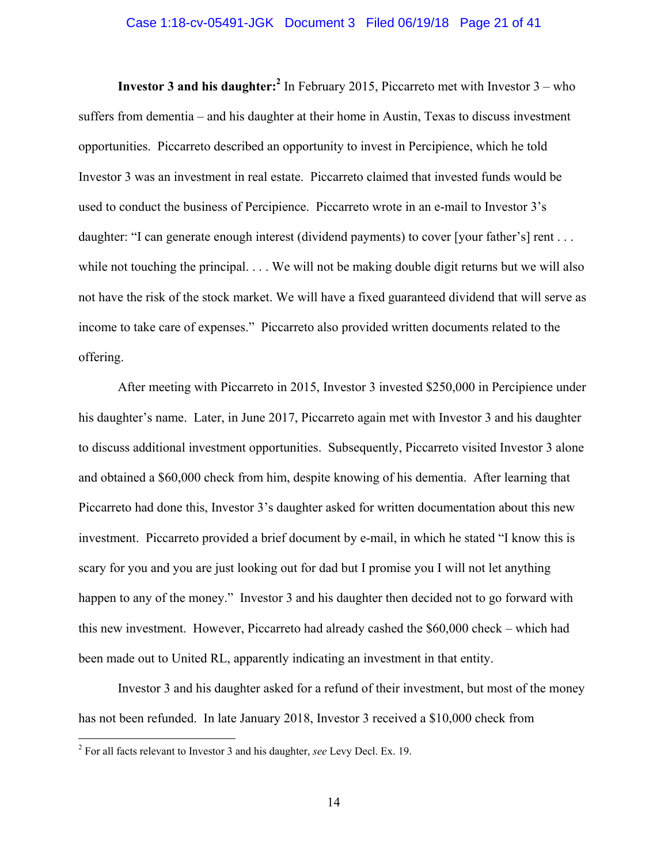#### Case 1:18-cv-05491-JGK Document 3 Filed 06/19/18 Page 21 of 41

**Investor 3 and his daughter:**<sup>2</sup> In February 2015, Piccarreto met with Investor  $3 -$  who suffers from dementia – and his daughter at their home in Austin, Texas to discuss investment opportunities. Piccarreto described an opportunity to invest in Percipience, which he told Investor 3 was an investment in real estate. Piccarreto claimed that invested funds would be used to conduct the business of Percipience. Piccarreto wrote in an e-mail to Investor 3's daughter: "I can generate enough interest (dividend payments) to cover [your father's] rent . . . while not touching the principal. . . . We will not be making double digit returns but we will also not have the risk of the stock market. We will have a fixed guaranteed dividend that will serve as income to take care of expenses." Piccarreto also provided written documents related to the offering.

 After meeting with Piccarreto in 2015, Investor 3 invested \$250,000 in Percipience under his daughter's name. Later, in June 2017, Piccarreto again met with Investor 3 and his daughter to discuss additional investment opportunities. Subsequently, Piccarreto visited Investor 3 alone and obtained a \$60,000 check from him, despite knowing of his dementia. After learning that Piccarreto had done this, Investor 3's daughter asked for written documentation about this new investment. Piccarreto provided a brief document by e-mail, in which he stated "I know this is scary for you and you are just looking out for dad but I promise you I will not let anything happen to any of the money." Investor 3 and his daughter then decided not to go forward with this new investment. However, Piccarreto had already cashed the \$60,000 check – which had been made out to United RL, apparently indicating an investment in that entity.

 Investor 3 and his daughter asked for a refund of their investment, but most of the money has not been refunded. In late January 2018, Investor 3 received a \$10,000 check from

 2 For all facts relevant to Investor 3 and his daughter, *see* Levy Decl. Ex. 19.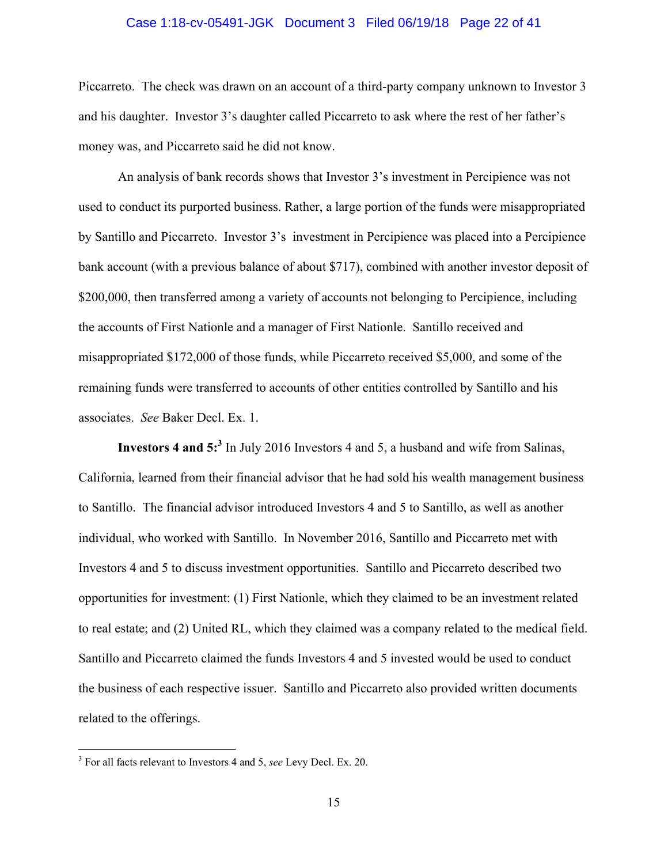#### Case 1:18-cv-05491-JGK Document 3 Filed 06/19/18 Page 22 of 41

Piccarreto. The check was drawn on an account of a third-party company unknown to Investor 3 and his daughter. Investor 3's daughter called Piccarreto to ask where the rest of her father's money was, and Piccarreto said he did not know.

 An analysis of bank records shows that Investor 3's investment in Percipience was not used to conduct its purported business. Rather, a large portion of the funds were misappropriated by Santillo and Piccarreto. Investor 3's investment in Percipience was placed into a Percipience bank account (with a previous balance of about \$717), combined with another investor deposit of \$200,000, then transferred among a variety of accounts not belonging to Percipience, including the accounts of First Nationle and a manager of First Nationle. Santillo received and misappropriated \$172,000 of those funds, while Piccarreto received \$5,000, and some of the remaining funds were transferred to accounts of other entities controlled by Santillo and his associates. *See* Baker Decl. Ex. 1.

**Investors 4 and 5:<sup>3</sup>** In July 2016 Investors 4 and 5, a husband and wife from Salinas, California, learned from their financial advisor that he had sold his wealth management business to Santillo. The financial advisor introduced Investors 4 and 5 to Santillo, as well as another individual, who worked with Santillo. In November 2016, Santillo and Piccarreto met with Investors 4 and 5 to discuss investment opportunities. Santillo and Piccarreto described two opportunities for investment: (1) First Nationle, which they claimed to be an investment related to real estate; and (2) United RL, which they claimed was a company related to the medical field. Santillo and Piccarreto claimed the funds Investors 4 and 5 invested would be used to conduct the business of each respective issuer. Santillo and Piccarreto also provided written documents related to the offerings.

 3 For all facts relevant to Investors 4 and 5, *see* Levy Decl. Ex. 20.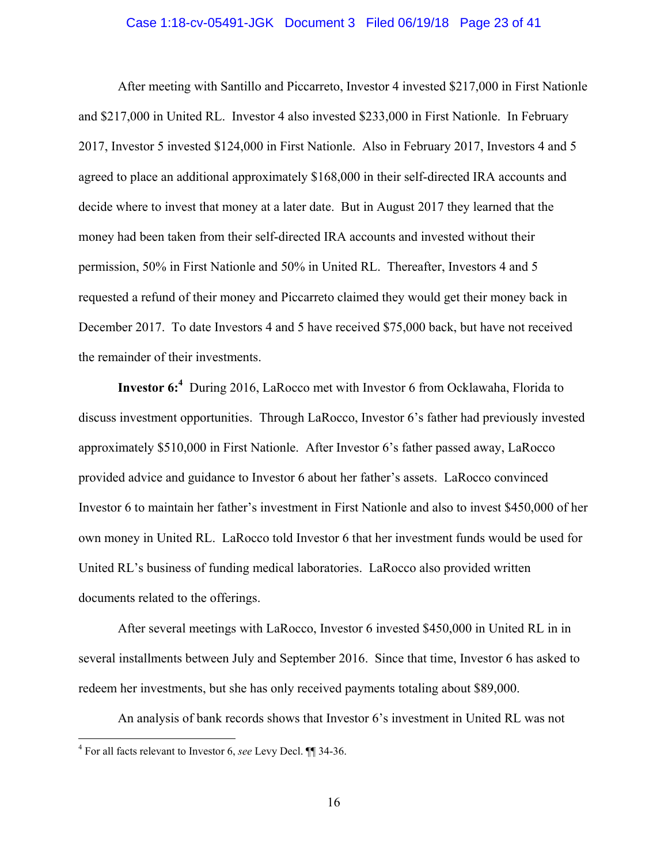#### Case 1:18-cv-05491-JGK Document 3 Filed 06/19/18 Page 23 of 41

After meeting with Santillo and Piccarreto, Investor 4 invested \$217,000 in First Nationle and \$217,000 in United RL. Investor 4 also invested \$233,000 in First Nationle. In February 2017, Investor 5 invested \$124,000 in First Nationle. Also in February 2017, Investors 4 and 5 agreed to place an additional approximately \$168,000 in their self-directed IRA accounts and decide where to invest that money at a later date. But in August 2017 they learned that the money had been taken from their self-directed IRA accounts and invested without their permission, 50% in First Nationle and 50% in United RL. Thereafter, Investors 4 and 5 requested a refund of their money and Piccarreto claimed they would get their money back in December 2017. To date Investors 4 and 5 have received \$75,000 back, but have not received the remainder of their investments.

**Investor 6:4** During 2016, LaRocco met with Investor 6 from Ocklawaha, Florida to discuss investment opportunities. Through LaRocco, Investor 6's father had previously invested approximately \$510,000 in First Nationle. After Investor 6's father passed away, LaRocco provided advice and guidance to Investor 6 about her father's assets. LaRocco convinced Investor 6 to maintain her father's investment in First Nationle and also to invest \$450,000 of her own money in United RL. LaRocco told Investor 6 that her investment funds would be used for United RL's business of funding medical laboratories. LaRocco also provided written documents related to the offerings.

After several meetings with LaRocco, Investor 6 invested \$450,000 in United RL in in several installments between July and September 2016. Since that time, Investor 6 has asked to redeem her investments, but she has only received payments totaling about \$89,000.

An analysis of bank records shows that Investor 6's investment in United RL was not

 4 For all facts relevant to Investor 6, *see* Levy Decl. ¶¶ 34-36.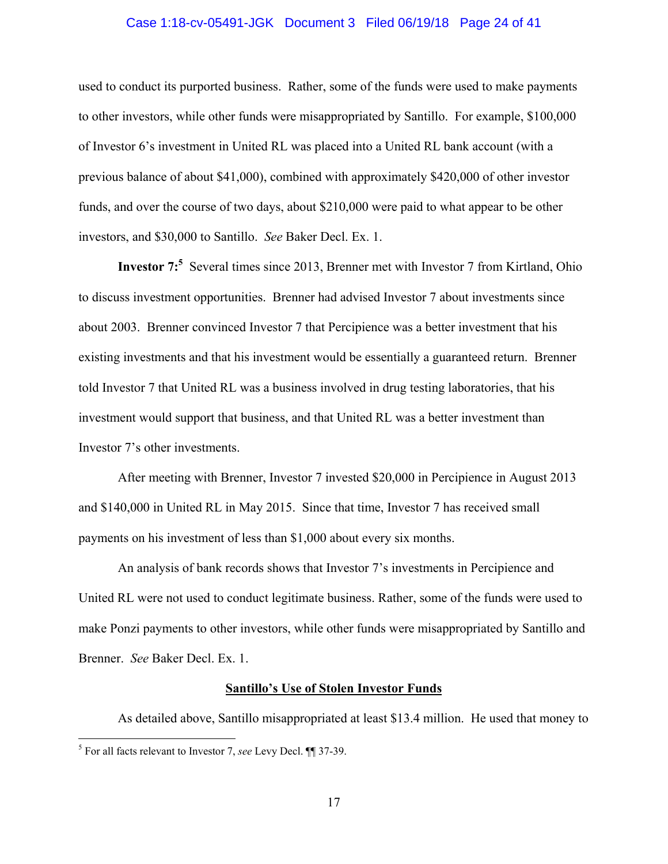#### Case 1:18-cv-05491-JGK Document 3 Filed 06/19/18 Page 24 of 41

used to conduct its purported business. Rather, some of the funds were used to make payments to other investors, while other funds were misappropriated by Santillo. For example, \$100,000 of Investor 6's investment in United RL was placed into a United RL bank account (with a previous balance of about \$41,000), combined with approximately \$420,000 of other investor funds, and over the course of two days, about \$210,000 were paid to what appear to be other investors, and \$30,000 to Santillo. *See* Baker Decl. Ex. 1.

**Investor 7:**<sup>5</sup> Several times since 2013, Brenner met with Investor 7 from Kirtland, Ohio to discuss investment opportunities. Brenner had advised Investor 7 about investments since about 2003. Brenner convinced Investor 7 that Percipience was a better investment that his existing investments and that his investment would be essentially a guaranteed return. Brenner told Investor 7 that United RL was a business involved in drug testing laboratories, that his investment would support that business, and that United RL was a better investment than Investor 7's other investments.

 After meeting with Brenner, Investor 7 invested \$20,000 in Percipience in August 2013 and \$140,000 in United RL in May 2015. Since that time, Investor 7 has received small payments on his investment of less than \$1,000 about every six months.

 An analysis of bank records shows that Investor 7's investments in Percipience and United RL were not used to conduct legitimate business. Rather, some of the funds were used to make Ponzi payments to other investors, while other funds were misappropriated by Santillo and Brenner. *See* Baker Decl. Ex. 1.

#### **Santillo's Use of Stolen Investor Funds**

As detailed above, Santillo misappropriated at least \$13.4 million. He used that money to 5 For all facts relevant to Investor 7, *see* Levy Decl. ¶¶ 37-39.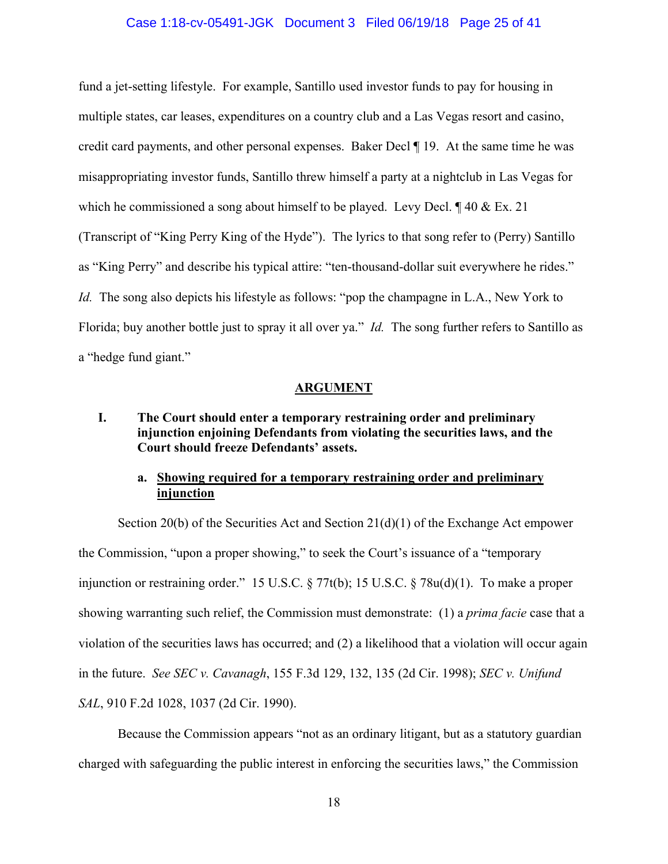#### Case 1:18-cv-05491-JGK Document 3 Filed 06/19/18 Page 25 of 41

fund a jet-setting lifestyle. For example, Santillo used investor funds to pay for housing in multiple states, car leases, expenditures on a country club and a Las Vegas resort and casino, credit card payments, and other personal expenses.Baker Decl ¶ 19. At the same time he was misappropriating investor funds, Santillo threw himself a party at a nightclub in Las Vegas for which he commissioned a song about himself to be played. Levy Decl.  $\P$  40 & Ex. 21 (Transcript of "King Perry King of the Hyde"). The lyrics to that song refer to (Perry) Santillo as "King Perry" and describe his typical attire: "ten-thousand-dollar suit everywhere he rides." *Id.* The song also depicts his lifestyle as follows: "pop the champagne in L.A., New York to Florida; buy another bottle just to spray it all over ya." *Id.* The song further refers to Santillo as a "hedge fund giant."

#### **ARGUMENT**

## **I. The Court should enter a temporary restraining order and preliminary injunction enjoining Defendants from violating the securities laws, and the Court should freeze Defendants' assets.**

## **a. Showing required for a temporary restraining order and preliminary injunction**

Section 20(b) of the Securities Act and Section  $21(d)(1)$  of the Exchange Act empower the Commission, "upon a proper showing," to seek the Court's issuance of a "temporary injunction or restraining order." 15 U.S.C. § 77t(b); 15 U.S.C. § 78u(d)(1). To make a proper showing warranting such relief, the Commission must demonstrate: (1) a *prima facie* case that a violation of the securities laws has occurred; and (2) a likelihood that a violation will occur again in the future. *See SEC v. Cavanagh*, 155 F.3d 129, 132, 135 (2d Cir. 1998); *SEC v. Unifund SAL*, 910 F.2d 1028, 1037 (2d Cir. 1990).

Because the Commission appears "not as an ordinary litigant, but as a statutory guardian charged with safeguarding the public interest in enforcing the securities laws," the Commission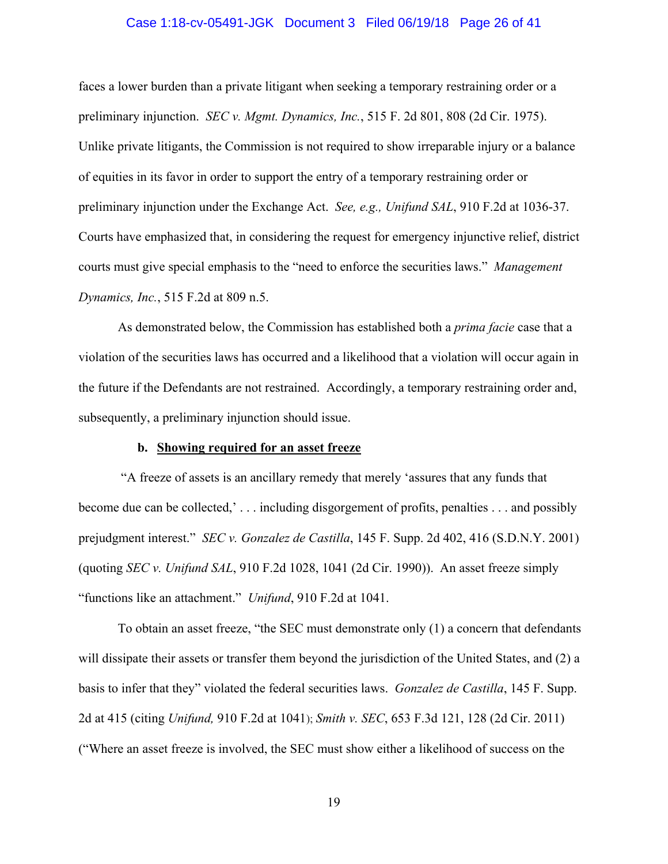#### Case 1:18-cv-05491-JGK Document 3 Filed 06/19/18 Page 26 of 41

faces a lower burden than a private litigant when seeking a temporary restraining order or a preliminary injunction. *SEC v. Mgmt. Dynamics, Inc.*, 515 F. 2d 801, 808 (2d Cir. 1975). Unlike private litigants, the Commission is not required to show irreparable injury or a balance of equities in its favor in order to support the entry of a temporary restraining order or preliminary injunction under the Exchange Act. *See, e.g., Unifund SAL*, 910 F.2d at 1036-37. Courts have emphasized that, in considering the request for emergency injunctive relief, district courts must give special emphasis to the "need to enforce the securities laws." *Management Dynamics, Inc.*, 515 F.2d at 809 n.5.

As demonstrated below, the Commission has established both a *prima facie* case that a violation of the securities laws has occurred and a likelihood that a violation will occur again in the future if the Defendants are not restrained. Accordingly, a temporary restraining order and, subsequently, a preliminary injunction should issue.

#### **b. Showing required for an asset freeze**

 "A freeze of assets is an ancillary remedy that merely 'assures that any funds that become due can be collected,' . . . including disgorgement of profits, penalties . . . and possibly prejudgment interest." *SEC v. Gonzalez de Castilla*, 145 F. Supp. 2d 402, 416 (S.D.N.Y. 2001) (quoting *SEC v. Unifund SAL*, 910 F.2d 1028, 1041 (2d Cir. 1990)). An asset freeze simply "functions like an attachment." *Unifund*, 910 F.2d at 1041.

 To obtain an asset freeze, "the SEC must demonstrate only (1) a concern that defendants will dissipate their assets or transfer them beyond the jurisdiction of the United States, and (2) a basis to infer that they" violated the federal securities laws. *Gonzalez de Castilla*, 145 F. Supp. 2d at 415 (citing *Unifund,* 910 F.2d at 1041); *Smith v. SEC*, 653 F.3d 121, 128 (2d Cir. 2011) ("Where an asset freeze is involved, the SEC must show either a likelihood of success on the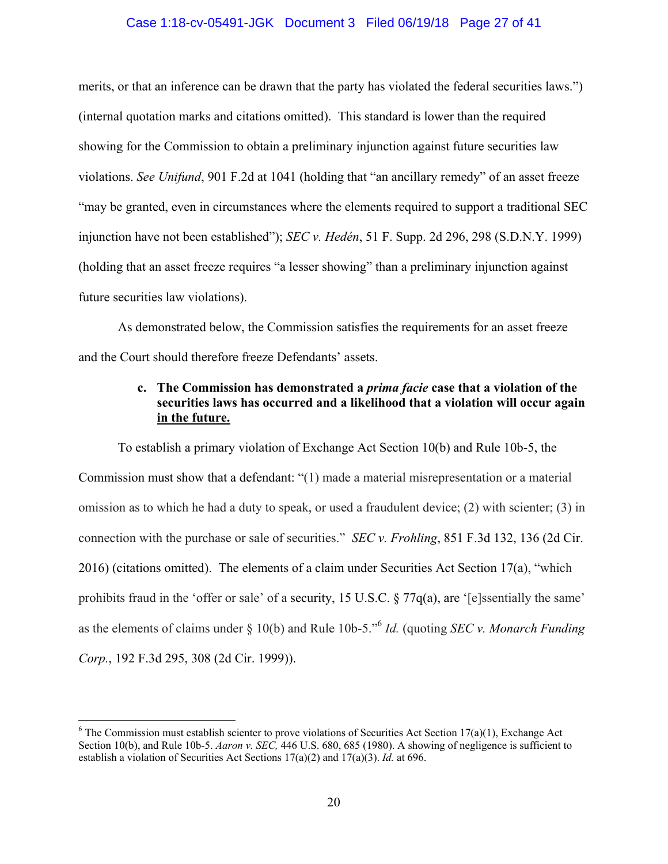#### Case 1:18-cv-05491-JGK Document 3 Filed 06/19/18 Page 27 of 41

merits, or that an inference can be drawn that the party has violated the federal securities laws.") (internal quotation marks and citations omitted). This standard is lower than the required showing for the Commission to obtain a preliminary injunction against future securities law violations. *See Unifund*, 901 F.2d at 1041 (holding that "an ancillary remedy" of an asset freeze "may be granted, even in circumstances where the elements required to support a traditional SEC injunction have not been established"); *SEC v. Hedén*, 51 F. Supp. 2d 296, 298 (S.D.N.Y. 1999) (holding that an asset freeze requires "a lesser showing" than a preliminary injunction against future securities law violations).

 As demonstrated below, the Commission satisfies the requirements for an asset freeze and the Court should therefore freeze Defendants' assets.

## **c. The Commission has demonstrated a** *prima facie* **case that a violation of the securities laws has occurred and a likelihood that a violation will occur again in the future.**

To establish a primary violation of Exchange Act Section 10(b) and Rule 10b-5, the Commission must show that a defendant: "(1) made a material misrepresentation or a material omission as to which he had a duty to speak, or used a fraudulent device; (2) with scienter; (3) in connection with the purchase or sale of securities." *SEC v. Frohling*, 851 F.3d 132, 136 (2d Cir. 2016) (citations omitted). The elements of a claim under Securities Act Section 17(a), "which prohibits fraud in the 'offer or sale' of a security, 15 U.S.C. § 77q(a), are '[e]ssentially the same' as the elements of claims under § 10(b) and Rule 10b-5."6 *Id.* (quoting *SEC v. Monarch Funding Corp.*, 192 F.3d 295, 308 (2d Cir. 1999)).

 $\overline{a}$ 

 $6$  The Commission must establish scienter to prove violations of Securities Act Section 17(a)(1), Exchange Act Section 10(b), and Rule 10b-5. *Aaron v. SEC,* 446 U.S. 680, 685 (1980). A showing of negligence is sufficient to establish a violation of Securities Act Sections 17(a)(2) and 17(a)(3). *Id.* at 696.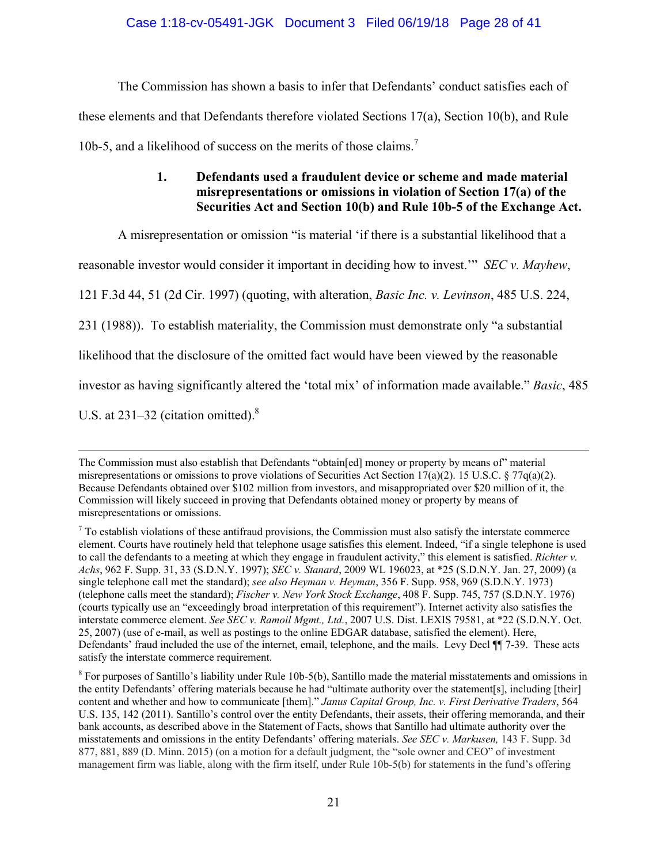The Commission has shown a basis to infer that Defendants' conduct satisfies each of these elements and that Defendants therefore violated Sections 17(a), Section 10(b), and Rule 10b-5, and a likelihood of success on the merits of those claims.<sup>7</sup>

## **1. Defendants used a fraudulent device or scheme and made material misrepresentations or omissions in violation of Section 17(a) of the Securities Act and Section 10(b) and Rule 10b-5 of the Exchange Act.**

A misrepresentation or omission "is material 'if there is a substantial likelihood that a

reasonable investor would consider it important in deciding how to invest.'" *SEC v. Mayhew*,

121 F.3d 44, 51 (2d Cir. 1997) (quoting, with alteration, *Basic Inc. v. Levinson*, 485 U.S. 224,

231 (1988)). To establish materiality, the Commission must demonstrate only "a substantial

likelihood that the disclosure of the omitted fact would have been viewed by the reasonable

investor as having significantly altered the 'total mix' of information made available." *Basic*, 485

U.S. at  $231-32$  (citation omitted).<sup>8</sup>

The Commission must also establish that Defendants "obtain[ed] money or property by means of" material misrepresentations or omissions to prove violations of Securities Act Section 17(a)(2). 15 U.S.C. § 77 $q$ (a)(2). Because Defendants obtained over \$102 million from investors, and misappropriated over \$20 million of it, the Commission will likely succeed in proving that Defendants obtained money or property by means of misrepresentations or omissions.

 $<sup>7</sup>$  To establish violations of these antifraud provisions, the Commission must also satisfy the interstate commerce</sup> element. Courts have routinely held that telephone usage satisfies this element. Indeed, "if a single telephone is used to call the defendants to a meeting at which they engage in fraudulent activity," this element is satisfied. *Richter v. Achs*, 962 F. Supp. 31, 33 (S.D.N.Y. 1997); *SEC v. Stanard*, 2009 WL 196023, at \*25 (S.D.N.Y. Jan. 27, 2009) (a single telephone call met the standard); *see also Heyman v. Heyman*, 356 F. Supp. 958, 969 (S.D.N.Y. 1973) (telephone calls meet the standard); *Fischer v. New York Stock Exchange*, 408 F. Supp. 745, 757 (S.D.N.Y. 1976) (courts typically use an "exceedingly broad interpretation of this requirement"). Internet activity also satisfies the interstate commerce element. *See SEC v. Ramoil Mgmt., Ltd.*, 2007 U.S. Dist. LEXIS 79581, at \*22 (S.D.N.Y. Oct. 25, 2007) (use of e-mail, as well as postings to the online EDGAR database, satisfied the element). Here, Defendants' fraud included the use of the internet, email, telephone, and the mails. Levy Decl ¶¶ 7-39. These acts satisfy the interstate commerce requirement.

 $8$  For purposes of Santillo's liability under Rule 10b-5(b), Santillo made the material misstatements and omissions in the entity Defendants' offering materials because he had "ultimate authority over the statement[s], including [their] content and whether and how to communicate [them]." *Janus Capital Group, Inc. v. First Derivative Traders*, 564 U.S. 135, 142 (2011). Santillo's control over the entity Defendants, their assets, their offering memoranda, and their bank accounts, as described above in the Statement of Facts, shows that Santillo had ultimate authority over the misstatements and omissions in the entity Defendants' offering materials. *See SEC v. Markusen,* 143 F. Supp. 3d 877, 881, 889 (D. Minn. 2015) (on a motion for a default judgment, the "sole owner and CEO" of investment management firm was liable, along with the firm itself, under Rule 10b-5(b) for statements in the fund's offering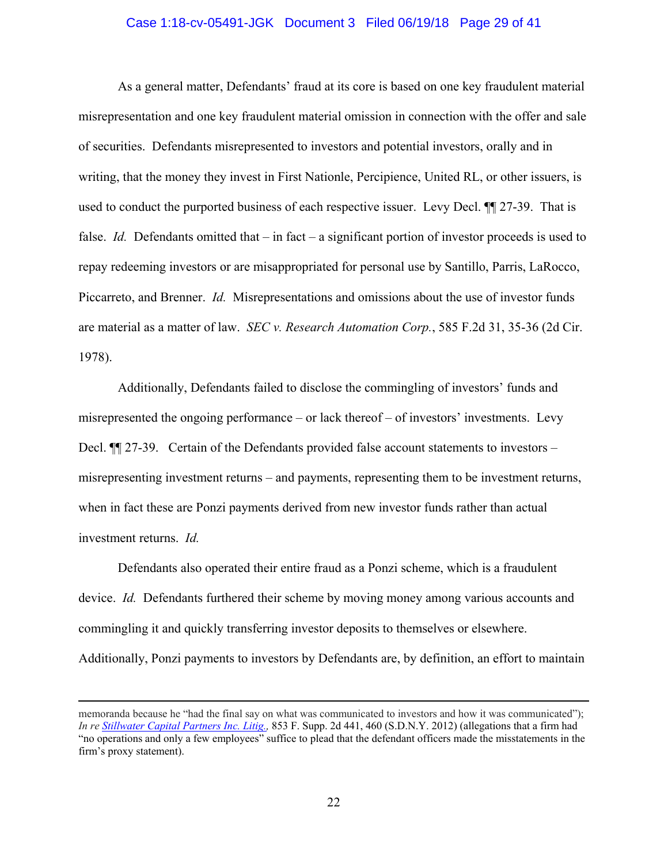#### Case 1:18-cv-05491-JGK Document 3 Filed 06/19/18 Page 29 of 41

As a general matter, Defendants' fraud at its core is based on one key fraudulent material misrepresentation and one key fraudulent material omission in connection with the offer and sale of securities. Defendants misrepresented to investors and potential investors, orally and in writing, that the money they invest in First Nationle, Percipience, United RL, or other issuers, is used to conduct the purported business of each respective issuer. Levy Decl. ¶¶ 27-39. That is false. *Id.* Defendants omitted that – in fact – a significant portion of investor proceeds is used to repay redeeming investors or are misappropriated for personal use by Santillo, Parris, LaRocco, Piccarreto, and Brenner. *Id.* Misrepresentations and omissions about the use of investor funds are material as a matter of law. *SEC v. Research Automation Corp.*, 585 F.2d 31, 35-36 (2d Cir. 1978).

Additionally, Defendants failed to disclose the commingling of investors' funds and misrepresented the ongoing performance – or lack thereof – of investors' investments. Levy Decl.  $\P$  27-39. Certain of the Defendants provided false account statements to investors – misrepresenting investment returns – and payments, representing them to be investment returns, when in fact these are Ponzi payments derived from new investor funds rather than actual investment returns. *Id.* 

Defendants also operated their entire fraud as a Ponzi scheme, which is a fraudulent device. *Id.* Defendants furthered their scheme by moving money among various accounts and commingling it and quickly transferring investor deposits to themselves or elsewhere. Additionally, Ponzi payments to investors by Defendants are, by definition, an effort to maintain

memoranda because he "had the final say on what was communicated to investors and how it was communicated"); *In re Stillwater Capital Partners Inc. Litig.,* 853 F. Supp. 2d 441, 460 (S.D.N.Y. 2012) (allegations that a firm had "no operations and only a few employees" suffice to plead that the defendant officers made the misstatements in the firm's proxy statement).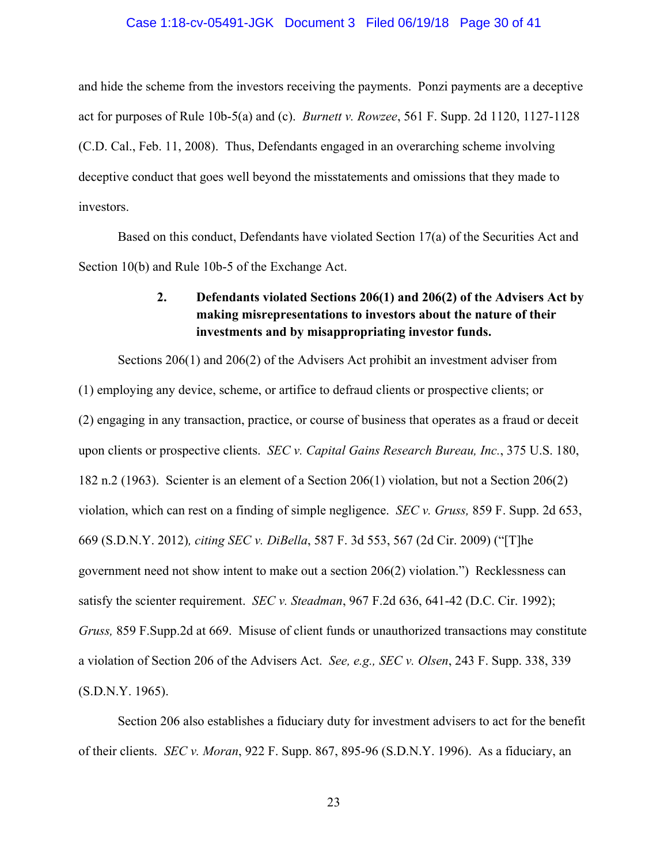#### Case 1:18-cv-05491-JGK Document 3 Filed 06/19/18 Page 30 of 41

and hide the scheme from the investors receiving the payments. Ponzi payments are a deceptive act for purposes of Rule 10b-5(a) and (c). *Burnett v. Rowzee*, 561 F. Supp. 2d 1120, 1127-1128 (C.D. Cal., Feb. 11, 2008). Thus, Defendants engaged in an overarching scheme involving deceptive conduct that goes well beyond the misstatements and omissions that they made to investors.

Based on this conduct, Defendants have violated Section 17(a) of the Securities Act and Section 10(b) and Rule 10b-5 of the Exchange Act.

## **2. Defendants violated Sections 206(1) and 206(2) of the Advisers Act by making misrepresentations to investors about the nature of their investments and by misappropriating investor funds.**

Sections 206(1) and 206(2) of the Advisers Act prohibit an investment adviser from (1) employing any device, scheme, or artifice to defraud clients or prospective clients; or (2) engaging in any transaction, practice, or course of business that operates as a fraud or deceit upon clients or prospective clients. *SEC v. Capital Gains Research Bureau, Inc.*, 375 U.S. 180, 182 n.2 (1963). Scienter is an element of a Section 206(1) violation, but not a Section 206(2) violation, which can rest on a finding of simple negligence. *SEC v. Gruss,* 859 F. Supp. 2d 653, 669 (S.D.N.Y. 2012)*, citing SEC v. DiBella*, 587 F. 3d 553, 567 (2d Cir. 2009) ("[T]he government need not show intent to make out a section 206(2) violation.") Recklessness can satisfy the scienter requirement. *SEC v. Steadman*, 967 F.2d 636, 641-42 (D.C. Cir. 1992); *Gruss,* 859 F.Supp.2d at 669. Misuse of client funds or unauthorized transactions may constitute a violation of Section 206 of the Advisers Act. *See, e.g., SEC v. Olsen*, 243 F. Supp. 338, 339 (S.D.N.Y. 1965).

Section 206 also establishes a fiduciary duty for investment advisers to act for the benefit of their clients. *SEC v. Moran*, 922 F. Supp. 867, 895-96 (S.D.N.Y. 1996). As a fiduciary, an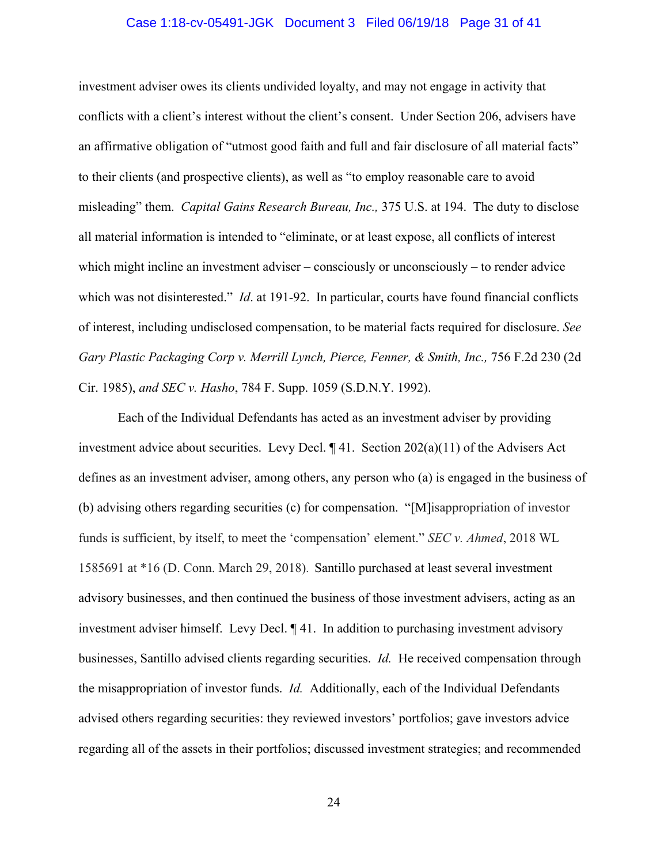#### Case 1:18-cv-05491-JGK Document 3 Filed 06/19/18 Page 31 of 41

investment adviser owes its clients undivided loyalty, and may not engage in activity that conflicts with a client's interest without the client's consent. Under Section 206, advisers have an affirmative obligation of "utmost good faith and full and fair disclosure of all material facts" to their clients (and prospective clients), as well as "to employ reasonable care to avoid misleading" them. *Capital Gains Research Bureau, Inc.,* 375 U.S. at 194. The duty to disclose all material information is intended to "eliminate, or at least expose, all conflicts of interest which might incline an investment adviser – consciously or unconsciously – to render advice which was not disinterested." *Id.* at 191-92. In particular, courts have found financial conflicts of interest, including undisclosed compensation, to be material facts required for disclosure. *See Gary Plastic Packaging Corp v. Merrill Lynch, Pierce, Fenner, & Smith, Inc.,* 756 F.2d 230 (2d Cir. 1985), *and SEC v. Hasho*, 784 F. Supp. 1059 (S.D.N.Y. 1992).

Each of the Individual Defendants has acted as an investment adviser by providing investment advice about securities. Levy Decl. ¶ 41. Section 202(a)(11) of the Advisers Act defines as an investment adviser, among others, any person who (a) is engaged in the business of (b) advising others regarding securities (c) for compensation. "[M]isappropriation of investor funds is sufficient, by itself, to meet the 'compensation' element." *SEC v. Ahmed*, 2018 WL 1585691 at \*16 (D. Conn. March 29, 2018). Santillo purchased at least several investment advisory businesses, and then continued the business of those investment advisers, acting as an investment adviser himself. Levy Decl. ¶ 41. In addition to purchasing investment advisory businesses, Santillo advised clients regarding securities. *Id.* He received compensation through the misappropriation of investor funds. *Id.* Additionally, each of the Individual Defendants advised others regarding securities: they reviewed investors' portfolios; gave investors advice regarding all of the assets in their portfolios; discussed investment strategies; and recommended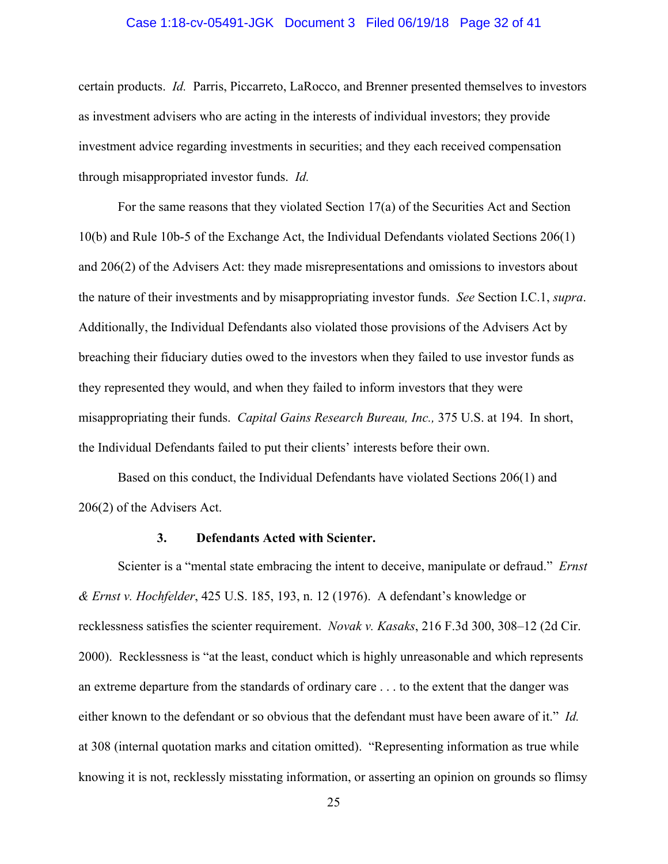#### Case 1:18-cv-05491-JGK Document 3 Filed 06/19/18 Page 32 of 41

certain products. *Id.* Parris, Piccarreto, LaRocco, and Brenner presented themselves to investors as investment advisers who are acting in the interests of individual investors; they provide investment advice regarding investments in securities; and they each received compensation through misappropriated investor funds. *Id.*

For the same reasons that they violated Section 17(a) of the Securities Act and Section 10(b) and Rule 10b-5 of the Exchange Act, the Individual Defendants violated Sections 206(1) and 206(2) of the Advisers Act: they made misrepresentations and omissions to investors about the nature of their investments and by misappropriating investor funds. *See* Section I.C.1, *supra*. Additionally, the Individual Defendants also violated those provisions of the Advisers Act by breaching their fiduciary duties owed to the investors when they failed to use investor funds as they represented they would, and when they failed to inform investors that they were misappropriating their funds. *Capital Gains Research Bureau, Inc.,* 375 U.S. at 194. In short, the Individual Defendants failed to put their clients' interests before their own.

Based on this conduct, the Individual Defendants have violated Sections 206(1) and 206(2) of the Advisers Act.

## **3. Defendants Acted with Scienter.**

Scienter is a "mental state embracing the intent to deceive, manipulate or defraud." *Ernst & Ernst v. Hochfelder*, 425 U.S. 185, 193, n. 12 (1976). A defendant's knowledge or recklessness satisfies the scienter requirement. *Novak v. Kasaks*, 216 F.3d 300, 308–12 (2d Cir. 2000). Recklessness is "at the least, conduct which is highly unreasonable and which represents an extreme departure from the standards of ordinary care . . . to the extent that the danger was either known to the defendant or so obvious that the defendant must have been aware of it." *Id.* at 308 (internal quotation marks and citation omitted). "Representing information as true while knowing it is not, recklessly misstating information, or asserting an opinion on grounds so flimsy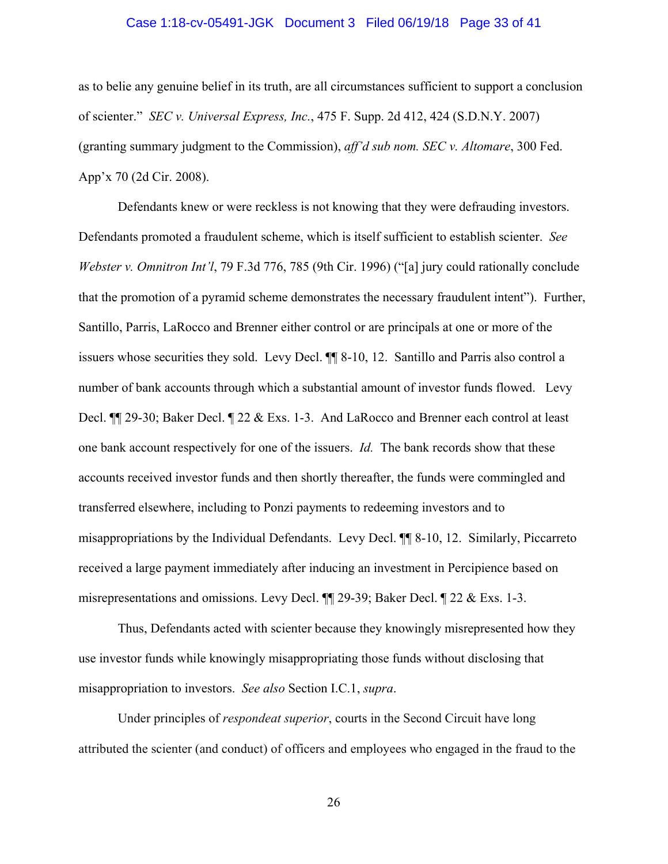#### Case 1:18-cv-05491-JGK Document 3 Filed 06/19/18 Page 33 of 41

as to belie any genuine belief in its truth, are all circumstances sufficient to support a conclusion of scienter." *SEC v. Universal Express, Inc.*, 475 F. Supp. 2d 412, 424 (S.D.N.Y. 2007) (granting summary judgment to the Commission), *aff'd sub nom. SEC v. Altomare*, 300 Fed. App'x 70 (2d Cir. 2008).

 Defendants knew or were reckless is not knowing that they were defrauding investors. Defendants promoted a fraudulent scheme, which is itself sufficient to establish scienter. *See Webster v. Omnitron Int'l*, 79 F.3d 776, 785 (9th Cir. 1996) ("[a] jury could rationally conclude that the promotion of a pyramid scheme demonstrates the necessary fraudulent intent"). Further, Santillo, Parris, LaRocco and Brenner either control or are principals at one or more of the issuers whose securities they sold. Levy Decl. ¶¶ 8-10, 12. Santillo and Parris also control a number of bank accounts through which a substantial amount of investor funds flowed. Levy Decl. ¶¶ 29-30; Baker Decl. ¶ 22 & Exs. 1-3. And LaRocco and Brenner each control at least one bank account respectively for one of the issuers. *Id.* The bank records show that these accounts received investor funds and then shortly thereafter, the funds were commingled and transferred elsewhere, including to Ponzi payments to redeeming investors and to misappropriations by the Individual Defendants. Levy Decl. ¶¶ 8-10, 12. Similarly, Piccarreto received a large payment immediately after inducing an investment in Percipience based on misrepresentations and omissions. Levy Decl. ¶¶ 29-39; Baker Decl. ¶ 22 & Exs. 1-3.

 Thus, Defendants acted with scienter because they knowingly misrepresented how they use investor funds while knowingly misappropriating those funds without disclosing that misappropriation to investors. *See also* Section I.C.1, *supra*.

Under principles of *respondeat superior*, courts in the Second Circuit have long attributed the scienter (and conduct) of officers and employees who engaged in the fraud to the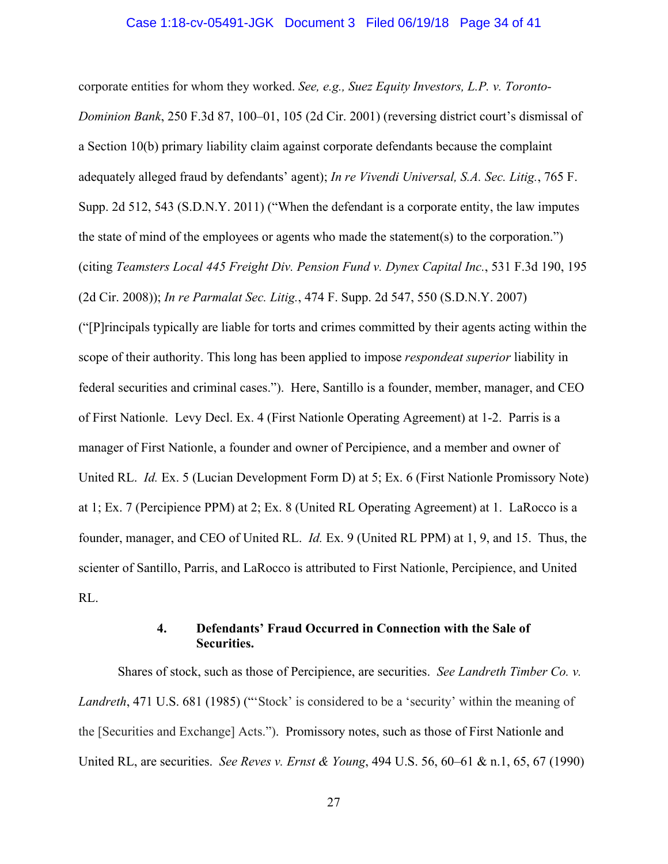#### Case 1:18-cv-05491-JGK Document 3 Filed 06/19/18 Page 34 of 41

corporate entities for whom they worked. *See, e.g., Suez Equity Investors, L.P. v. Toronto-Dominion Bank*, 250 F.3d 87, 100–01, 105 (2d Cir. 2001) (reversing district court's dismissal of a Section 10(b) primary liability claim against corporate defendants because the complaint adequately alleged fraud by defendants' agent); *In re Vivendi Universal, S.A. Sec. Litig.*, 765 F. Supp. 2d 512, 543 (S.D.N.Y. 2011) ("When the defendant is a corporate entity, the law imputes the state of mind of the employees or agents who made the statement(s) to the corporation.") (citing *Teamsters Local 445 Freight Div. Pension Fund v. Dynex Capital Inc.*, 531 F.3d 190, 195 (2d Cir. 2008)); *In re Parmalat Sec. Litig.*, 474 F. Supp. 2d 547, 550 (S.D.N.Y. 2007)

("[P]rincipals typically are liable for torts and crimes committed by their agents acting within the scope of their authority. This long has been applied to impose *respondeat superior* liability in federal securities and criminal cases."). Here, Santillo is a founder, member, manager, and CEO of First Nationle. Levy Decl. Ex. 4 (First Nationle Operating Agreement) at 1-2. Parris is a manager of First Nationle, a founder and owner of Percipience, and a member and owner of United RL. *Id.* Ex. 5 (Lucian Development Form D) at 5; Ex. 6 (First Nationle Promissory Note) at 1; Ex. 7 (Percipience PPM) at 2; Ex. 8 (United RL Operating Agreement) at 1. LaRocco is a founder, manager, and CEO of United RL. *Id.* Ex. 9 (United RL PPM) at 1, 9, and 15. Thus, the scienter of Santillo, Parris, and LaRocco is attributed to First Nationle, Percipience, and United RL.

## **4. Defendants' Fraud Occurred in Connection with the Sale of Securities.**

 Shares of stock, such as those of Percipience, are securities. *See Landreth Timber Co. v. Landreth*, 471 U.S. 681 (1985) ("'Stock' is considered to be a 'security' within the meaning of the [Securities and Exchange] Acts."). Promissory notes, such as those of First Nationle and United RL, are securities. *See Reves v. Ernst & Young*, 494 U.S. 56, 60–61 & n.1, 65, 67 (1990)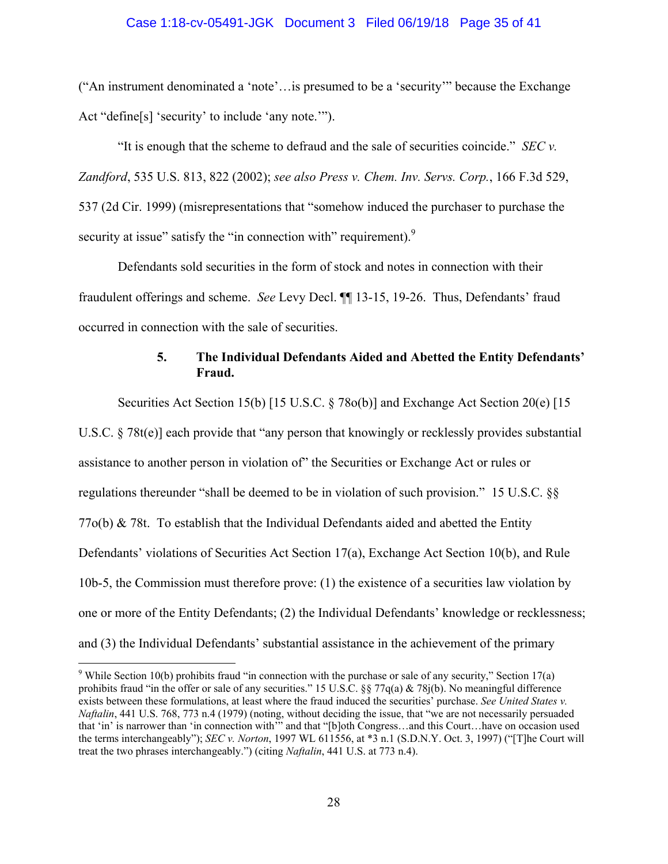#### Case 1:18-cv-05491-JGK Document 3 Filed 06/19/18 Page 35 of 41

("An instrument denominated a 'note'…is presumed to be a 'security'" because the Exchange Act "define[s] 'security' to include 'any note.'").

"It is enough that the scheme to defraud and the sale of securities coincide." *SEC v. Zandford*, 535 U.S. 813, 822 (2002); *see also Press v. Chem. Inv. Servs. Corp.*, 166 F.3d 529, 537 (2d Cir. 1999) (misrepresentations that "somehow induced the purchaser to purchase the security at issue" satisfy the "in connection with" requirement).<sup>9</sup>

Defendants sold securities in the form of stock and notes in connection with their fraudulent offerings and scheme. *See* Levy Decl. ¶¶ 13-15, 19-26. Thus, Defendants' fraud occurred in connection with the sale of securities.

## **5. The Individual Defendants Aided and Abetted the Entity Defendants' Fraud.**

Securities Act Section 15(b) [15 U.S.C. § 78o(b)] and Exchange Act Section 20(e) [15 U.S.C. § 78t(e)] each provide that "any person that knowingly or recklessly provides substantial assistance to another person in violation of" the Securities or Exchange Act or rules or regulations thereunder "shall be deemed to be in violation of such provision." 15 U.S.C. §§ 77o(b) & 78t. To establish that the Individual Defendants aided and abetted the Entity Defendants' violations of Securities Act Section 17(a), Exchange Act Section 10(b), and Rule 10b-5, the Commission must therefore prove: (1) the existence of a securities law violation by one or more of the Entity Defendants; (2) the Individual Defendants' knowledge or recklessness; and (3) the Individual Defendants' substantial assistance in the achievement of the primary

 $\overline{a}$ 

<sup>&</sup>lt;sup>9</sup> While Section 10(b) prohibits fraud "in connection with the purchase or sale of any security," Section 17(a) prohibits fraud "in the offer or sale of any securities." 15 U.S.C. §§ 77q(a) & 78j(b). No meaningful difference exists between these formulations, at least where the fraud induced the securities' purchase. *See United States v. Naftalin*, 441 U.S. 768, 773 n.4 (1979) (noting, without deciding the issue, that "we are not necessarily persuaded that 'in' is narrower than 'in connection with'" and that "[b]oth Congress…and this Court…have on occasion used the terms interchangeably"); *SEC v. Norton*, 1997 WL 611556, at \*3 n.1 (S.D.N.Y. Oct. 3, 1997) ("[T]he Court will treat the two phrases interchangeably.") (citing *Naftalin*, 441 U.S. at 773 n.4).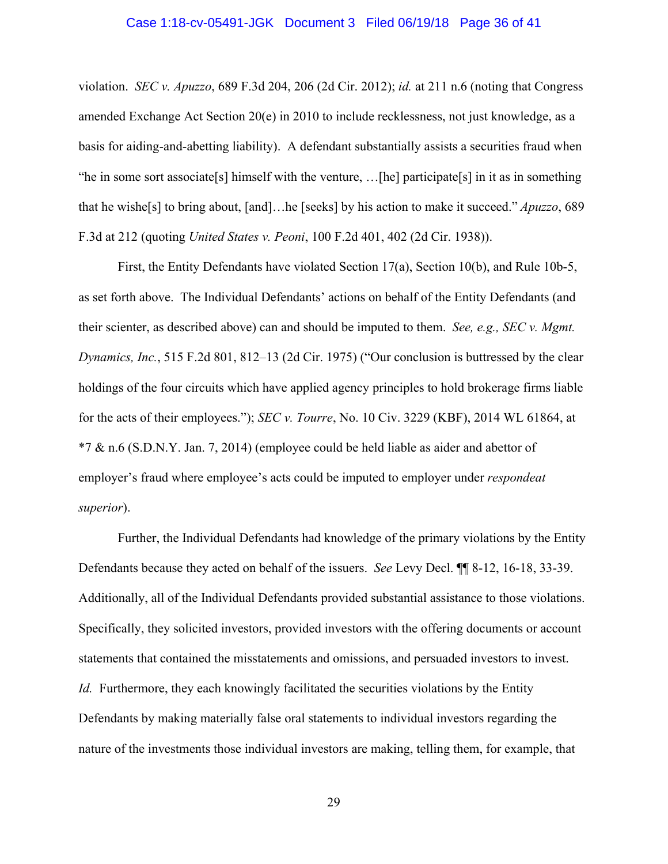#### Case 1:18-cv-05491-JGK Document 3 Filed 06/19/18 Page 36 of 41

violation. *SEC v. Apuzzo*, 689 F.3d 204, 206 (2d Cir. 2012); *id.* at 211 n.6 (noting that Congress amended Exchange Act Section 20(e) in 2010 to include recklessness, not just knowledge, as a basis for aiding-and-abetting liability). A defendant substantially assists a securities fraud when "he in some sort associate[s] himself with the venture, …[he] participate[s] in it as in something that he wishe[s] to bring about, [and]…he [seeks] by his action to make it succeed." *Apuzzo*, 689 F.3d at 212 (quoting *United States v. Peoni*, 100 F.2d 401, 402 (2d Cir. 1938)).

First, the Entity Defendants have violated Section 17(a), Section 10(b), and Rule 10b-5, as set forth above. The Individual Defendants' actions on behalf of the Entity Defendants (and their scienter, as described above) can and should be imputed to them. *See, e.g., SEC v. Mgmt. Dynamics, Inc.*, 515 F.2d 801, 812–13 (2d Cir. 1975) ("Our conclusion is buttressed by the clear holdings of the four circuits which have applied agency principles to hold brokerage firms liable for the acts of their employees."); *SEC v. Tourre*, No. 10 Civ. 3229 (KBF), 2014 WL 61864, at \*7 & n.6 (S.D.N.Y. Jan. 7, 2014) (employee could be held liable as aider and abettor of employer's fraud where employee's acts could be imputed to employer under *respondeat superior*).

Further, the Individual Defendants had knowledge of the primary violations by the Entity Defendants because they acted on behalf of the issuers. *See* Levy Decl. ¶¶ 8-12, 16-18, 33-39. Additionally, all of the Individual Defendants provided substantial assistance to those violations. Specifically, they solicited investors, provided investors with the offering documents or account statements that contained the misstatements and omissions, and persuaded investors to invest. *Id.* Furthermore, they each knowingly facilitated the securities violations by the Entity Defendants by making materially false oral statements to individual investors regarding the nature of the investments those individual investors are making, telling them, for example, that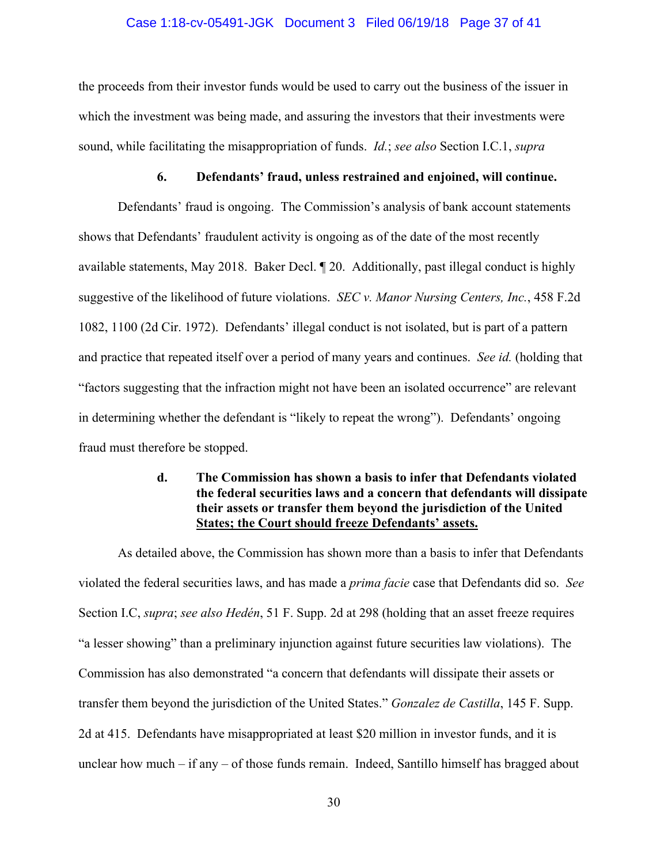#### Case 1:18-cv-05491-JGK Document 3 Filed 06/19/18 Page 37 of 41

the proceeds from their investor funds would be used to carry out the business of the issuer in which the investment was being made, and assuring the investors that their investments were sound, while facilitating the misappropriation of funds. *Id.*; *see also* Section I.C.1, *supra* 

#### **6. Defendants' fraud, unless restrained and enjoined, will continue.**

Defendants' fraud is ongoing. The Commission's analysis of bank account statements shows that Defendants' fraudulent activity is ongoing as of the date of the most recently available statements, May 2018. Baker Decl. ¶ 20. Additionally, past illegal conduct is highly suggestive of the likelihood of future violations. *SEC v. Manor Nursing Centers, Inc.*, 458 F.2d 1082, 1100 (2d Cir. 1972). Defendants' illegal conduct is not isolated, but is part of a pattern and practice that repeated itself over a period of many years and continues. *See id.* (holding that "factors suggesting that the infraction might not have been an isolated occurrence" are relevant in determining whether the defendant is "likely to repeat the wrong"). Defendants' ongoing fraud must therefore be stopped.

## **d. The Commission has shown a basis to infer that Defendants violated the federal securities laws and a concern that defendants will dissipate their assets or transfer them beyond the jurisdiction of the United States; the Court should freeze Defendants' assets.**

 As detailed above, the Commission has shown more than a basis to infer that Defendants violated the federal securities laws, and has made a *prima facie* case that Defendants did so. *See*  Section I.C, *supra*; *see also Hedén*, 51 F. Supp. 2d at 298 (holding that an asset freeze requires "a lesser showing" than a preliminary injunction against future securities law violations). The Commission has also demonstrated "a concern that defendants will dissipate their assets or transfer them beyond the jurisdiction of the United States." *Gonzalez de Castilla*, 145 F. Supp. 2d at 415. Defendants have misappropriated at least \$20 million in investor funds, and it is unclear how much – if any – of those funds remain. Indeed, Santillo himself has bragged about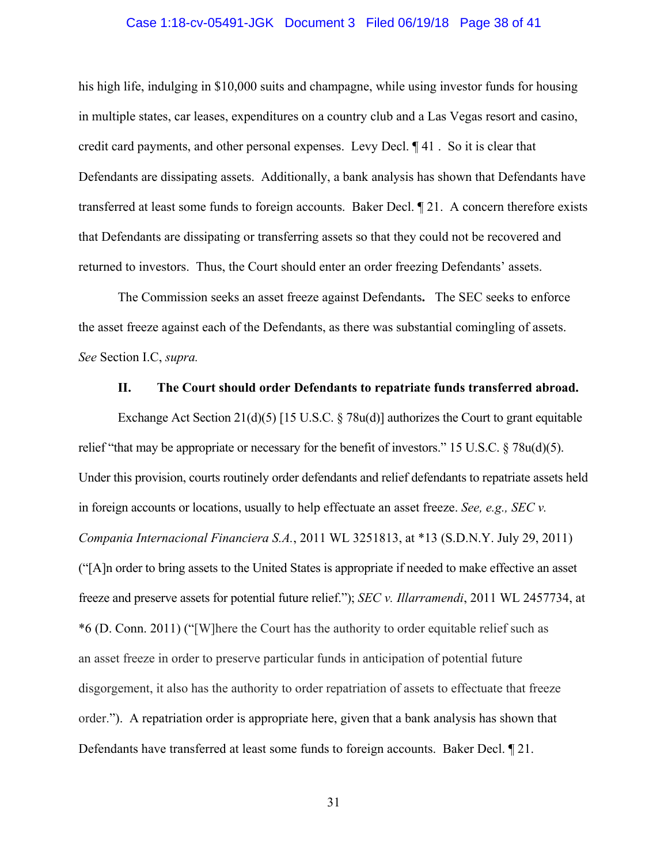#### Case 1:18-cv-05491-JGK Document 3 Filed 06/19/18 Page 38 of 41

his high life, indulging in \$10,000 suits and champagne, while using investor funds for housing in multiple states, car leases, expenditures on a country club and a Las Vegas resort and casino, credit card payments, and other personal expenses. Levy Decl. ¶ 41 . So it is clear that Defendants are dissipating assets. Additionally, a bank analysis has shown that Defendants have transferred at least some funds to foreign accounts. Baker Decl. ¶ 21. A concern therefore exists that Defendants are dissipating or transferring assets so that they could not be recovered and returned to investors. Thus, the Court should enter an order freezing Defendants' assets.

 The Commission seeks an asset freeze against Defendants**.** The SEC seeks to enforce the asset freeze against each of the Defendants, as there was substantial comingling of assets. *See* Section I.C, *supra.*

#### **II. The Court should order Defendants to repatriate funds transferred abroad.**

Exchange Act Section  $21(d)(5)$  [15 U.S.C. § 78u(d)] authorizes the Court to grant equitable relief "that may be appropriate or necessary for the benefit of investors." 15 U.S.C. § 78u(d)(5). Under this provision, courts routinely order defendants and relief defendants to repatriate assets held in foreign accounts or locations, usually to help effectuate an asset freeze. *See, e.g., SEC v. Compania Internacional Financiera S.A.*, 2011 WL 3251813, at \*13 (S.D.N.Y. July 29, 2011) ("[A]n order to bring assets to the United States is appropriate if needed to make effective an asset freeze and preserve assets for potential future relief."); *SEC v. Illarramendi*, 2011 WL 2457734, at \*6 (D. Conn. 2011) ("[W]here the Court has the authority to order equitable relief such as an asset freeze in order to preserve particular funds in anticipation of potential future disgorgement, it also has the authority to order repatriation of assets to effectuate that freeze order."). A repatriation order is appropriate here, given that a bank analysis has shown that Defendants have transferred at least some funds to foreign accounts. Baker Decl. ¶ 21.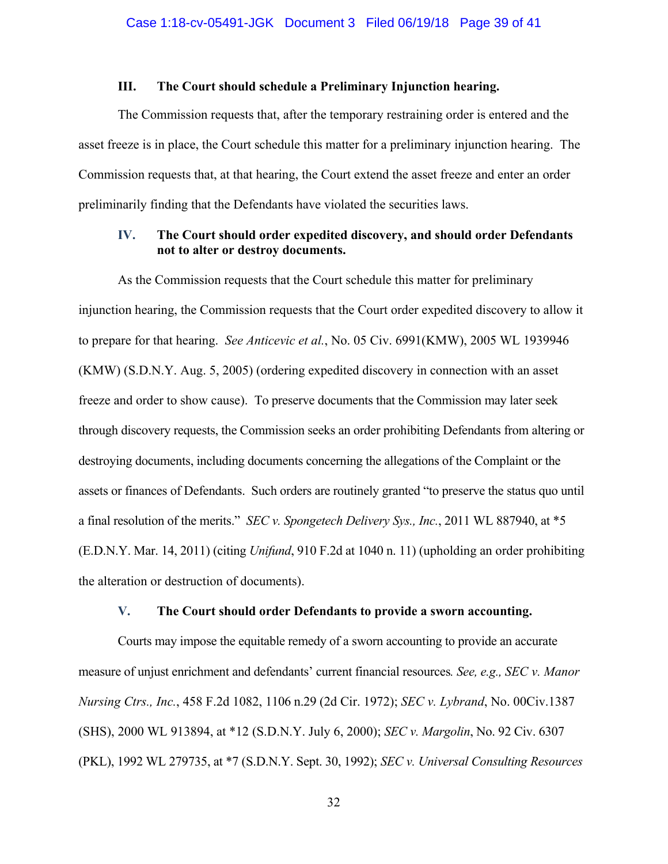## **III. The Court should schedule a Preliminary Injunction hearing.**

The Commission requests that, after the temporary restraining order is entered and the asset freeze is in place, the Court schedule this matter for a preliminary injunction hearing. The Commission requests that, at that hearing, the Court extend the asset freeze and enter an order preliminarily finding that the Defendants have violated the securities laws.

## **IV. The Court should order expedited discovery, and should order Defendants not to alter or destroy documents.**

As the Commission requests that the Court schedule this matter for preliminary injunction hearing, the Commission requests that the Court order expedited discovery to allow it to prepare for that hearing. *See Anticevic et al.*, No. 05 Civ. 6991(KMW), 2005 WL 1939946 (KMW) (S.D.N.Y. Aug. 5, 2005) (ordering expedited discovery in connection with an asset freeze and order to show cause). To preserve documents that the Commission may later seek through discovery requests, the Commission seeks an order prohibiting Defendants from altering or destroying documents, including documents concerning the allegations of the Complaint or the assets or finances of Defendants. Such orders are routinely granted "to preserve the status quo until a final resolution of the merits." *SEC v. Spongetech Delivery Sys., Inc.*, 2011 WL 887940, at \*5 (E.D.N.Y. Mar. 14, 2011) (citing *Unifund*, 910 F.2d at 1040 n. 11) (upholding an order prohibiting the alteration or destruction of documents).

#### **V. The Court should order Defendants to provide a sworn accounting.**

Courts may impose the equitable remedy of a sworn accounting to provide an accurate measure of unjust enrichment and defendants' current financial resources*. See, e.g., SEC v. Manor Nursing Ctrs., Inc.*, 458 F.2d 1082, 1106 n.29 (2d Cir. 1972); *SEC v. Lybrand*, No. 00Civ.1387 (SHS), 2000 WL 913894, at \*12 (S.D.N.Y. July 6, 2000); *SEC v. Margolin*, No. 92 Civ. 6307 (PKL), 1992 WL 279735, at \*7 (S.D.N.Y. Sept. 30, 1992); *SEC v. Universal Consulting Resources*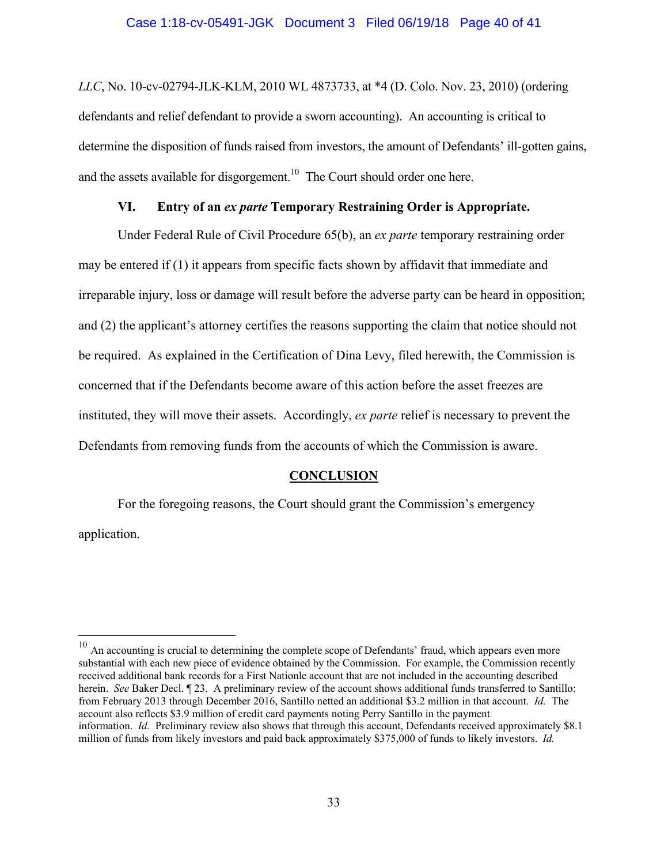#### Case 1:18-cv-05491-JGK Document 3 Filed 06/19/18 Page 40 of 41

*LLC*, No. 10-cv-02794-JLK-KLM, 2010 WL 4873733, at \*4 (D. Colo. Nov. 23, 2010) (ordering defendants and relief defendant to provide a sworn accounting). An accounting is critical to determine the disposition of funds raised from investors, the amount of Defendants' ill-gotten gains, and the assets available for disgorgement.<sup>10</sup> The Court should order one here.

## **VI. Entry of an** *ex parte* **Temporary Restraining Order is Appropriate.**

Under Federal Rule of Civil Procedure 65(b), an *ex parte* temporary restraining order may be entered if (1) it appears from specific facts shown by affidavit that immediate and irreparable injury, loss or damage will result before the adverse party can be heard in opposition; and (2) the applicant's attorney certifies the reasons supporting the claim that notice should not be required. As explained in the Certification of Dina Levy, filed herewith, the Commission is concerned that if the Defendants become aware of this action before the asset freezes are instituted, they will move their assets. Accordingly, *ex parte* relief is necessary to prevent the Defendants from removing funds from the accounts of which the Commission is aware.

#### **CONCLUSION**

For the foregoing reasons, the Court should grant the Commission's emergency application.

 $\overline{a}$ 

 $10$  An accounting is crucial to determining the complete scope of Defendants' fraud, which appears even more substantial with each new piece of evidence obtained by the Commission. For example, the Commission recently received additional bank records for a First Nationle account that are not included in the accounting described herein. *See* Baker Decl. ¶ 23. A preliminary review of the account shows additional funds transferred to Santillo: from February 2013 through December 2016, Santillo netted an additional \$3.2 million in that account. *Id.* The account also reflects \$3.9 million of credit card payments noting Perry Santillo in the payment information. *Id.* Preliminary review also shows that through this account, Defendants received approximately \$8.1 million of funds from likely investors and paid back approximately \$375,000 of funds to likely investors. *Id.*